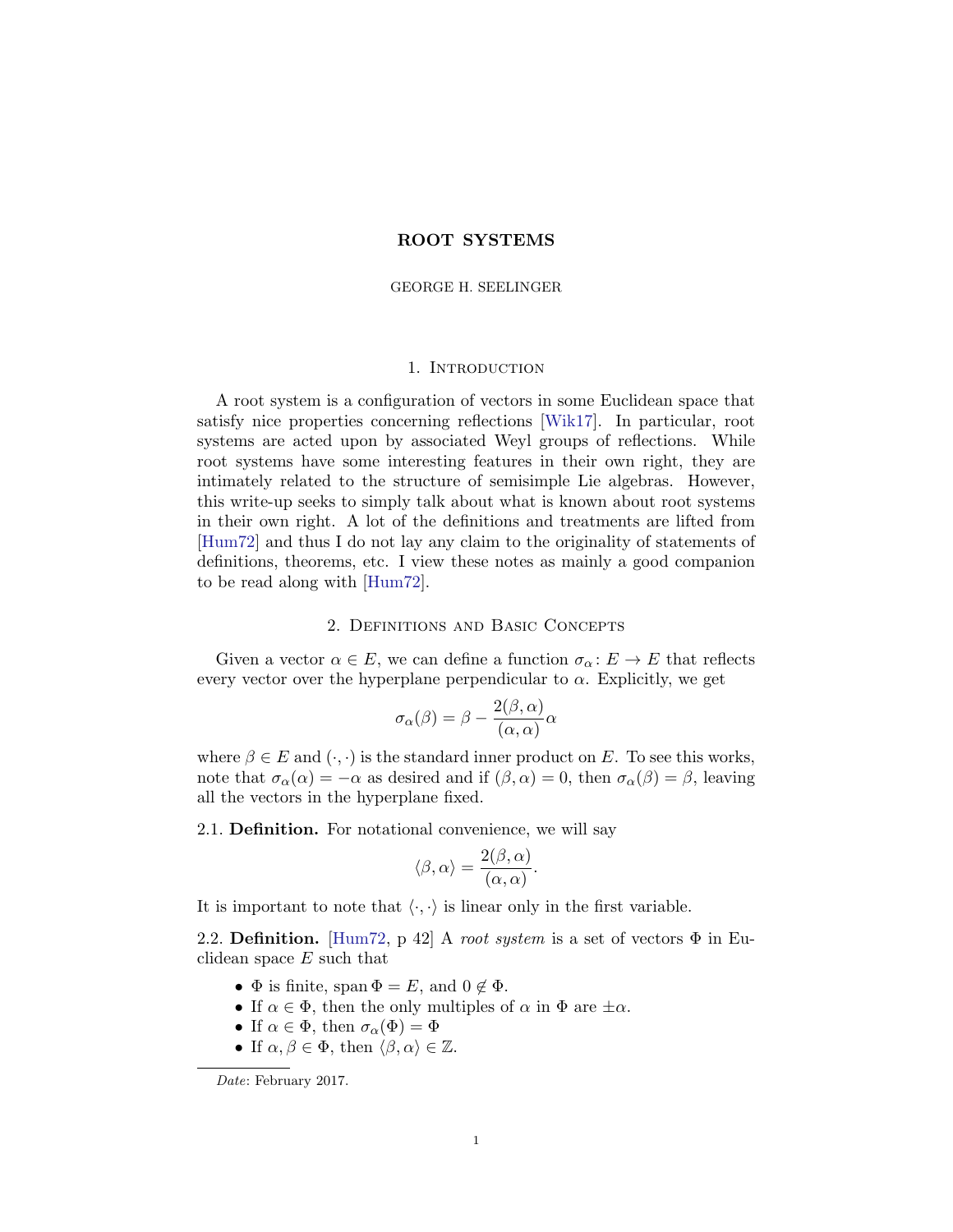# ROOT SYSTEMS

#### GEORGE H. SEELINGER

#### 1. Introduction

A root system is a configuration of vectors in some Euclidean space that satisfy nice properties concerning reflections [\[Wik17\]](#page-24-0). In particular, root systems are acted upon by associated Weyl groups of reflections. While root systems have some interesting features in their own right, they are intimately related to the structure of semisimple Lie algebras. However, this write-up seeks to simply talk about what is known about root systems in their own right. A lot of the definitions and treatments are lifted from [\[Hum72\]](#page-24-1) and thus I do not lay any claim to the originality of statements of definitions, theorems, etc. I view these notes as mainly a good companion to be read along with [\[Hum72\]](#page-24-1).

#### 2. Definitions and Basic Concepts

Given a vector  $\alpha \in E$ , we can define a function  $\sigma_{\alpha}: E \to E$  that reflects every vector over the hyperplane perpendicular to  $\alpha$ . Explicitly, we get

$$
\sigma_{\alpha}(\beta) = \beta - \frac{2(\beta, \alpha)}{(\alpha, \alpha)}\alpha
$$

where  $\beta \in E$  and  $(\cdot, \cdot)$  is the standard inner product on E. To see this works, note that  $\sigma_{\alpha}(\alpha) = -\alpha$  as desired and if  $(\beta, \alpha) = 0$ , then  $\sigma_{\alpha}(\beta) = \beta$ , leaving all the vectors in the hyperplane fixed.

2.1. Definition. For notational convenience, we will say

$$
\langle \beta, \alpha \rangle = \frac{2(\beta, \alpha)}{(\alpha, \alpha)}.
$$

It is important to note that  $\langle \cdot, \cdot \rangle$  is linear only in the first variable.

2.2. Definition. [\[Hum72,](#page-24-1) p 42] A root system is a set of vectors  $\Phi$  in Euclidean space  $E$  such that

- $\Phi$  is finite, span  $\Phi = E$ , and  $0 \notin \Phi$ .
- If  $\alpha \in \Phi$ , then the only multiples of  $\alpha$  in  $\Phi$  are  $\pm \alpha$ .
- If  $\alpha \in \Phi$ , then  $\sigma_{\alpha}(\Phi) = \Phi$
- If  $\alpha, \beta \in \Phi$ , then  $\langle \beta, \alpha \rangle \in \mathbb{Z}$ .

Date: February 2017.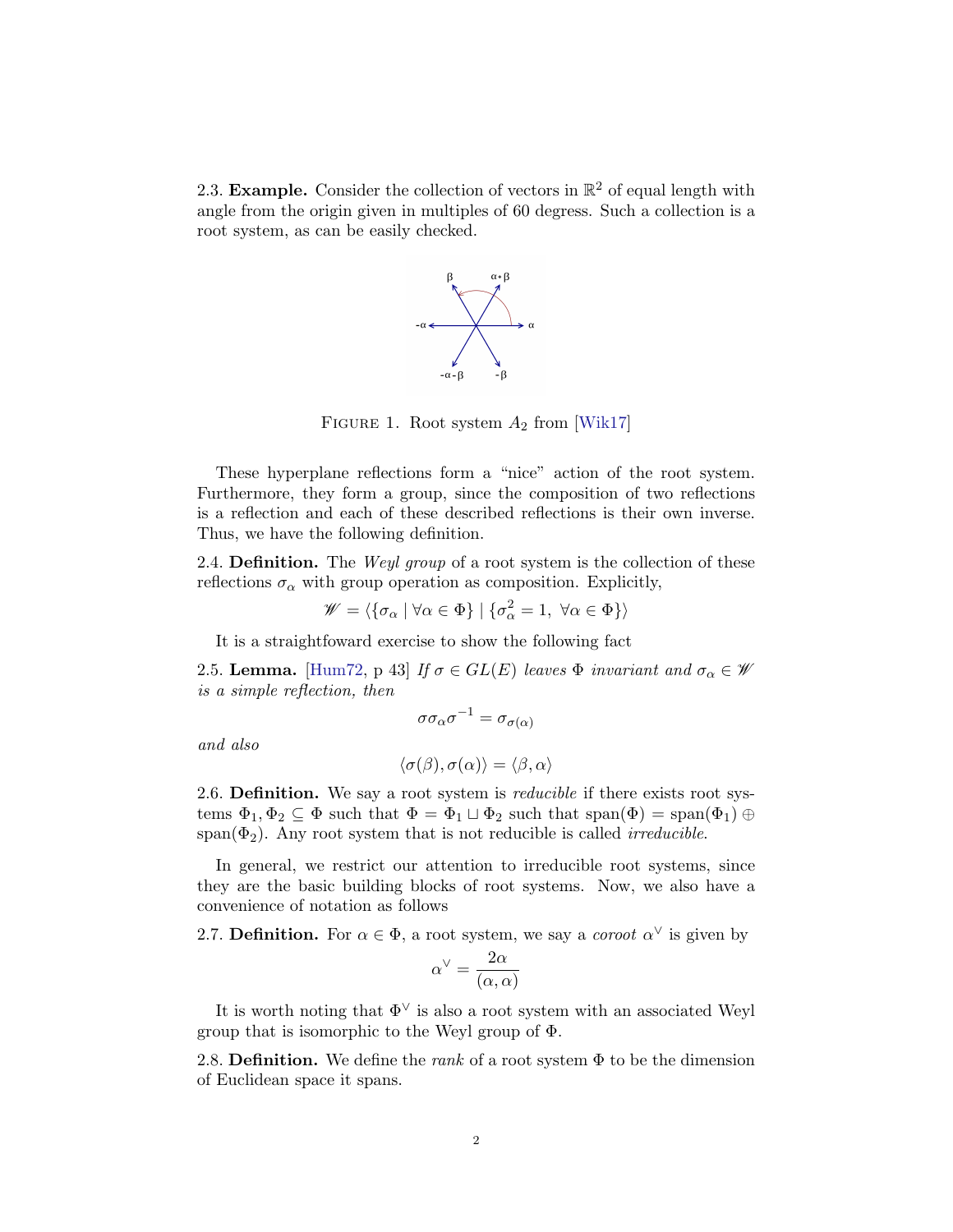2.3. Example. Consider the collection of vectors in  $\mathbb{R}^2$  of equal length with angle from the origin given in multiples of 60 degress. Such a collection is a root system, as can be easily checked.



FIGURE 1. Root system  $A_2$  from [\[Wik17\]](#page-24-0)

These hyperplane reflections form a "nice" action of the root system. Furthermore, they form a group, since the composition of two reflections is a reflection and each of these described reflections is their own inverse. Thus, we have the following definition.

2.4. **Definition.** The *Weyl group* of a root system is the collection of these reflections  $\sigma_{\alpha}$  with group operation as composition. Explicitly,

$$
\mathscr{W} = \langle \{ \sigma_\alpha \mid \forall \alpha \in \Phi \} \mid \{ \sigma_\alpha^2 = 1, \ \forall \alpha \in \Phi \} \rangle
$$

It is a straightfoward exercise to show the following fact

<span id="page-1-0"></span>2.5. Lemma. [\[Hum72,](#page-24-1) p 43] If  $\sigma \in GL(E)$  leaves  $\Phi$  invariant and  $\sigma_{\alpha} \in \mathscr{W}$ is a simple reflection, then

$$
\sigma \sigma_\alpha \sigma^{-1} = \sigma_{\sigma(\alpha)}
$$

and also

$$
\langle \sigma(\beta),\sigma(\alpha)\rangle=\langle \beta,\alpha\rangle
$$

2.6. Definition. We say a root system is *reducible* if there exists root systems  $\Phi_1, \Phi_2 \subseteq \Phi$  such that  $\Phi = \Phi_1 \sqcup \Phi_2$  such that  $\text{span}(\Phi) = \text{span}(\Phi_1) \oplus \Phi_2$ span( $\Phi_2$ ). Any root system that is not reducible is called *irreducible*.

In general, we restrict our attention to irreducible root systems, since they are the basic building blocks of root systems. Now, we also have a convenience of notation as follows

2.7. Definition. For  $\alpha \in \Phi$ , a root system, we say a *coroot*  $\alpha^{\vee}$  is given by

$$
\alpha^\vee=\frac{2\alpha}{(\alpha,\alpha)}
$$

It is worth noting that  $\Phi^{\vee}$  is also a root system with an associated Weyl group that is isomorphic to the Weyl group of Φ.

2.8. Definition. We define the *rank* of a root system  $\Phi$  to be the dimension of Euclidean space it spans.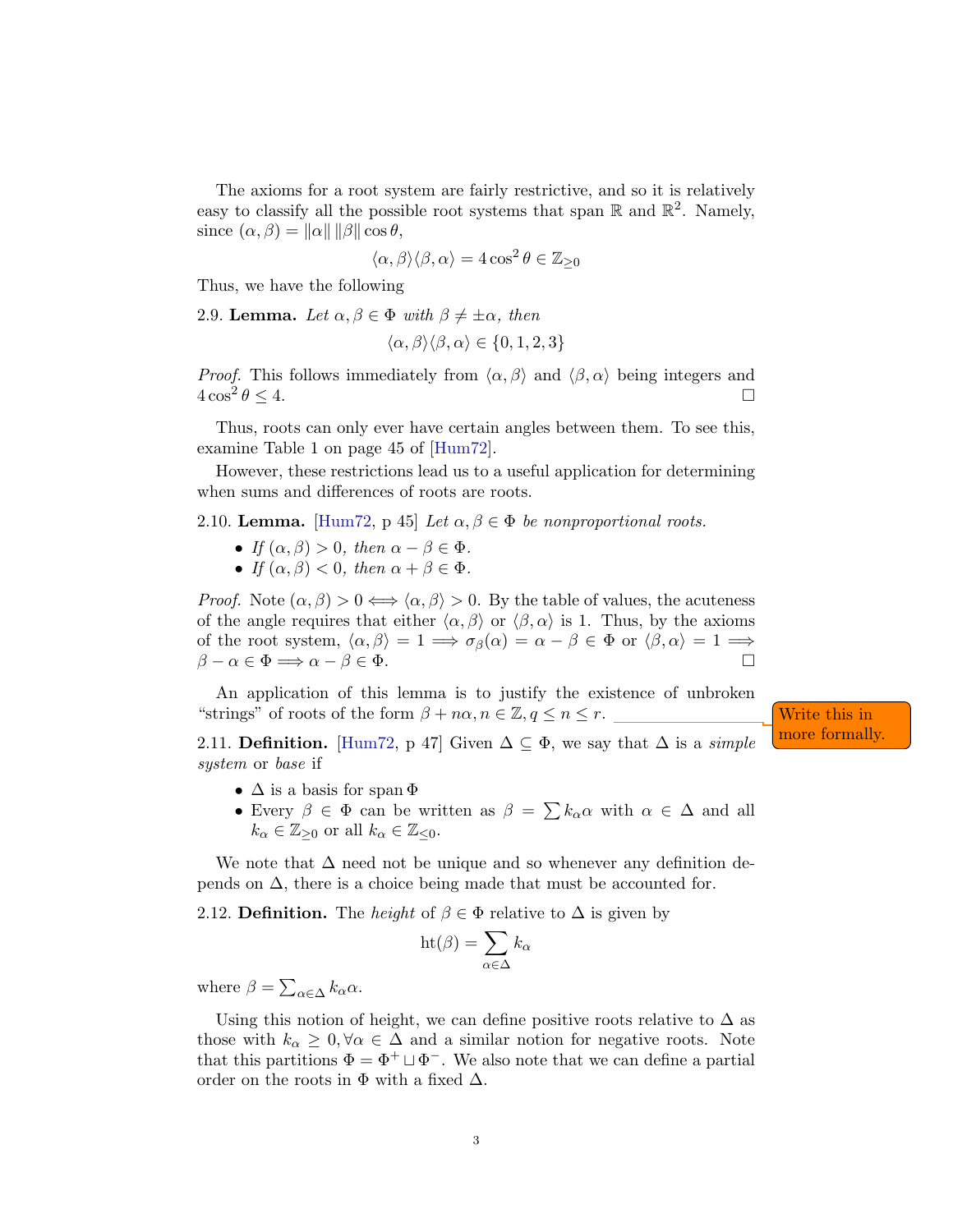The axioms for a root system are fairly restrictive, and so it is relatively easy to classify all the possible root systems that span  $\mathbb R$  and  $\mathbb R^2$ . Namely, since  $(\alpha, \beta) = ||\alpha|| ||\beta|| \cos \theta$ ,

$$
\langle \alpha, \beta \rangle \langle \beta, \alpha \rangle = 4 \cos^2 \theta \in \mathbb{Z}_{\geq 0}
$$

Thus, we have the following

<span id="page-2-0"></span>2.9. Lemma. Let  $\alpha, \beta \in \Phi$  with  $\beta \neq \pm \alpha$ , then

$$
\langle \alpha, \beta \rangle \langle \beta, \alpha \rangle \in \{0,1,2,3\}
$$

*Proof.* This follows immediately from  $\langle \alpha, \beta \rangle$  and  $\langle \beta, \alpha \rangle$  being integers and  $4\cos^2\theta \leq 4.$  $\theta \leq 4.$ 

Thus, roots can only ever have certain angles between them. To see this, examine Table 1 on page 45 of [\[Hum72\]](#page-24-1).

However, these restrictions lead us to a useful application for determining when sums and differences of roots are roots.

2.10. Lemma. [\[Hum72,](#page-24-1) p 45] Let  $\alpha, \beta \in \Phi$  be nonproportional roots.

- If  $(\alpha, \beta) > 0$ , then  $\alpha \beta \in \Phi$ .
- If  $(\alpha, \beta) < 0$ , then  $\alpha + \beta \in \Phi$ .

*Proof.* Note  $(\alpha, \beta) > 0 \Longleftrightarrow \langle \alpha, \beta \rangle > 0$ . By the table of values, the acuteness of the angle requires that either  $\langle \alpha, \beta \rangle$  or  $\langle \beta, \alpha \rangle$  is 1. Thus, by the axioms of the root system,  $\langle \alpha, \beta \rangle = 1 \Longrightarrow \sigma_{\beta}(\alpha) = \alpha - \beta \in \Phi$  or  $\langle \beta, \alpha \rangle = 1 \Longrightarrow$  $\beta - \alpha \in \Phi \Longrightarrow \alpha - \beta \in \Phi$ .

An application of this lemma is to justify the existence of unbroken "strings" of roots of the form  $\beta + n\alpha, n \in \mathbb{Z}, q \leq n \leq r$ . Write this in

2.11. Definition. [\[Hum72,](#page-24-1) p 47] Given  $\Delta \subseteq \Phi$ , we say that  $\Delta$  is a *simple* more formally system or base if

- $\Delta$  is a basis for span  $\Phi$
- Every  $\beta \in \Phi$  can be written as  $\beta = \sum k_{\alpha} \alpha$  with  $\alpha \in \Delta$  and all  $k_{\alpha} \in \mathbb{Z}_{\geq 0}$  or all  $k_{\alpha} \in \mathbb{Z}_{\leq 0}$ .

We note that  $\Delta$  need not be unique and so whenever any definition depends on  $\Delta$ , there is a choice being made that must be accounted for.

2.12. Definition. The *height* of  $\beta \in \Phi$  relative to  $\Delta$  is given by

$$
\mathrm{ht}(\beta) = \sum_{\alpha \in \Delta} k_{\alpha}
$$

where  $\beta = \sum_{\alpha \in \Delta} k_{\alpha} \alpha$ .

Using this notion of height, we can define positive roots relative to  $\Delta$  as those with  $k_{\alpha} \geq 0, \forall \alpha \in \Delta$  and a similar notion for negative roots. Note that this partitions  $\Phi = \Phi^+ \sqcup \Phi^-$ . We also note that we can define a partial order on the roots in  $\Phi$  with a fixed  $\Delta$ .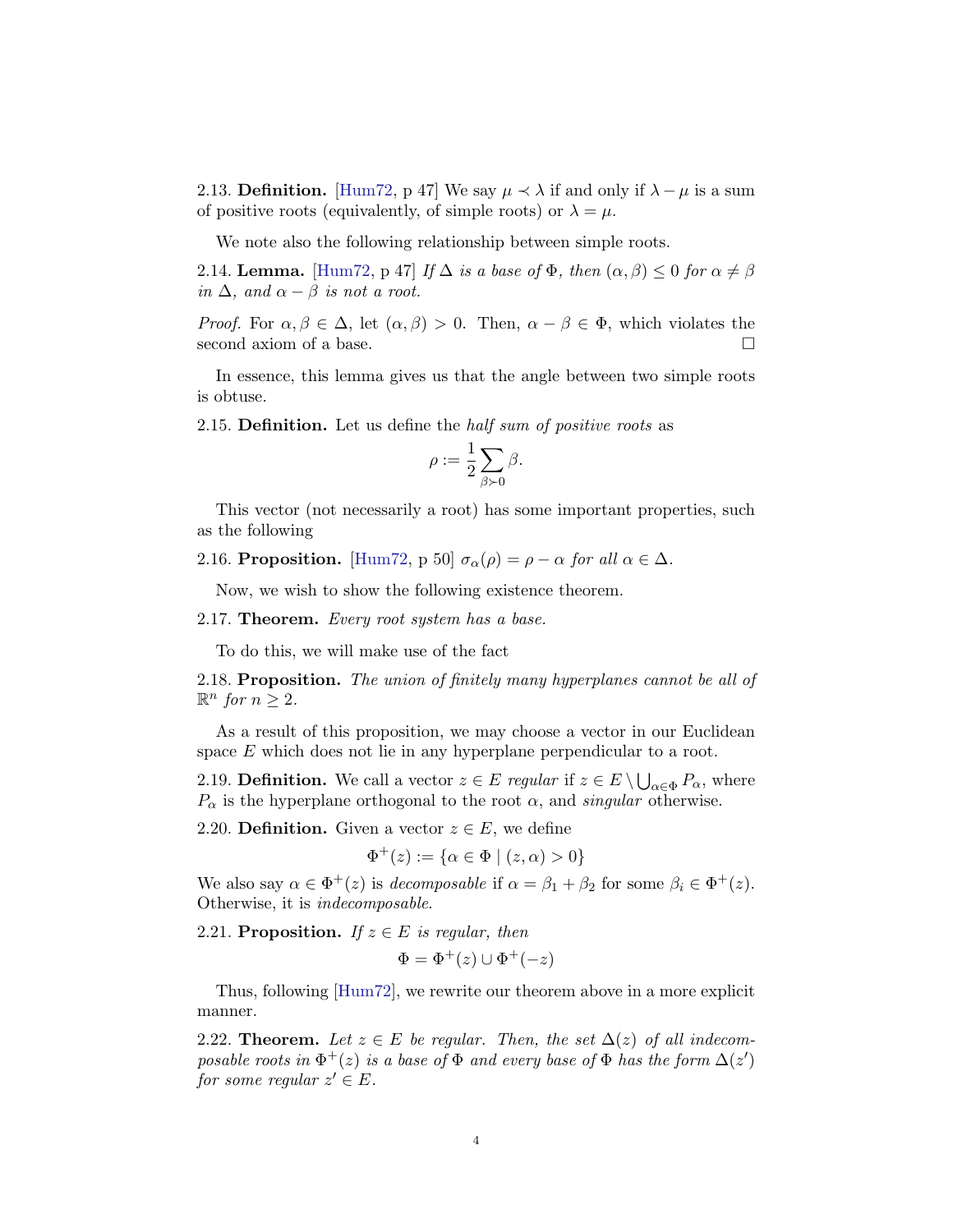<span id="page-3-2"></span>2.13. Definition. [\[Hum72,](#page-24-1) p 47] We say  $\mu \prec \lambda$  if and only if  $\lambda - \mu$  is a sum of positive roots (equivalently, of simple roots) or  $\lambda = \mu$ .

We note also the following relationship between simple roots.

<span id="page-3-0"></span>2.14. Lemma. [\[Hum72,](#page-24-1) p 47] If  $\Delta$  is a base of  $\Phi$ , then  $(\alpha, \beta) \leq 0$  for  $\alpha \neq \beta$ in  $\Delta$ , and  $\alpha - \beta$  is not a root.

*Proof.* For  $\alpha, \beta \in \Delta$ , let  $(\alpha, \beta) > 0$ . Then,  $\alpha - \beta \in \Phi$ , which violates the second axiom of a base.

In essence, this lemma gives us that the angle between two simple roots is obtuse.

<span id="page-3-3"></span>2.15. **Definition.** Let us define the *half sum of positive roots* as

$$
\rho:=\frac{1}{2}\sum_{\beta\succ 0}\beta.
$$

This vector (not necessarily a root) has some important properties, such as the following

2.16. Proposition. [\[Hum72,](#page-24-1) p 50]  $\sigma_{\alpha}(\rho) = \rho - \alpha$  for all  $\alpha \in \Delta$ .

Now, we wish to show the following existence theorem.

2.17. **Theorem.** Every root system has a base.

To do this, we will make use of the fact

2.18. Proposition. The union of finitely many hyperplanes cannot be all of  $\mathbb{R}^n$  for  $n \geq 2$ .

As a result of this proposition, we may choose a vector in our Euclidean space  $E$  which does not lie in any hyperplane perpendicular to a root.

2.19. **Definition.** We call a vector  $z \in E$  regular if  $z \in E \setminus \bigcup_{\alpha \in \Phi} P_{\alpha}$ , where  $P_{\alpha}$  is the hyperplane orthogonal to the root  $\alpha$ , and *singular* otherwise.

2.20. **Definition.** Given a vector  $z \in E$ , we define

$$
\Phi^+(z) := \{ \alpha \in \Phi \mid (z, \alpha) > 0 \}
$$

We also say  $\alpha \in \Phi^+(z)$  is *decomposable* if  $\alpha = \beta_1 + \beta_2$  for some  $\beta_i \in \Phi^+(z)$ . Otherwise, it is indecomposable.

2.21. Proposition. If  $z \in E$  is regular, then

$$
\Phi = \Phi^+(z) \cup \Phi^+(-z)
$$

Thus, following [\[Hum72\]](#page-24-1), we rewrite our theorem above in a more explicit manner.

<span id="page-3-1"></span>2.22. Theorem. Let  $z \in E$  be regular. Then, the set  $\Delta(z)$  of all indecomposable roots in  $\Phi^+(z)$  is a base of  $\Phi$  and every base of  $\Phi$  has the form  $\Delta(z')$ for some regular  $z' \in E$ .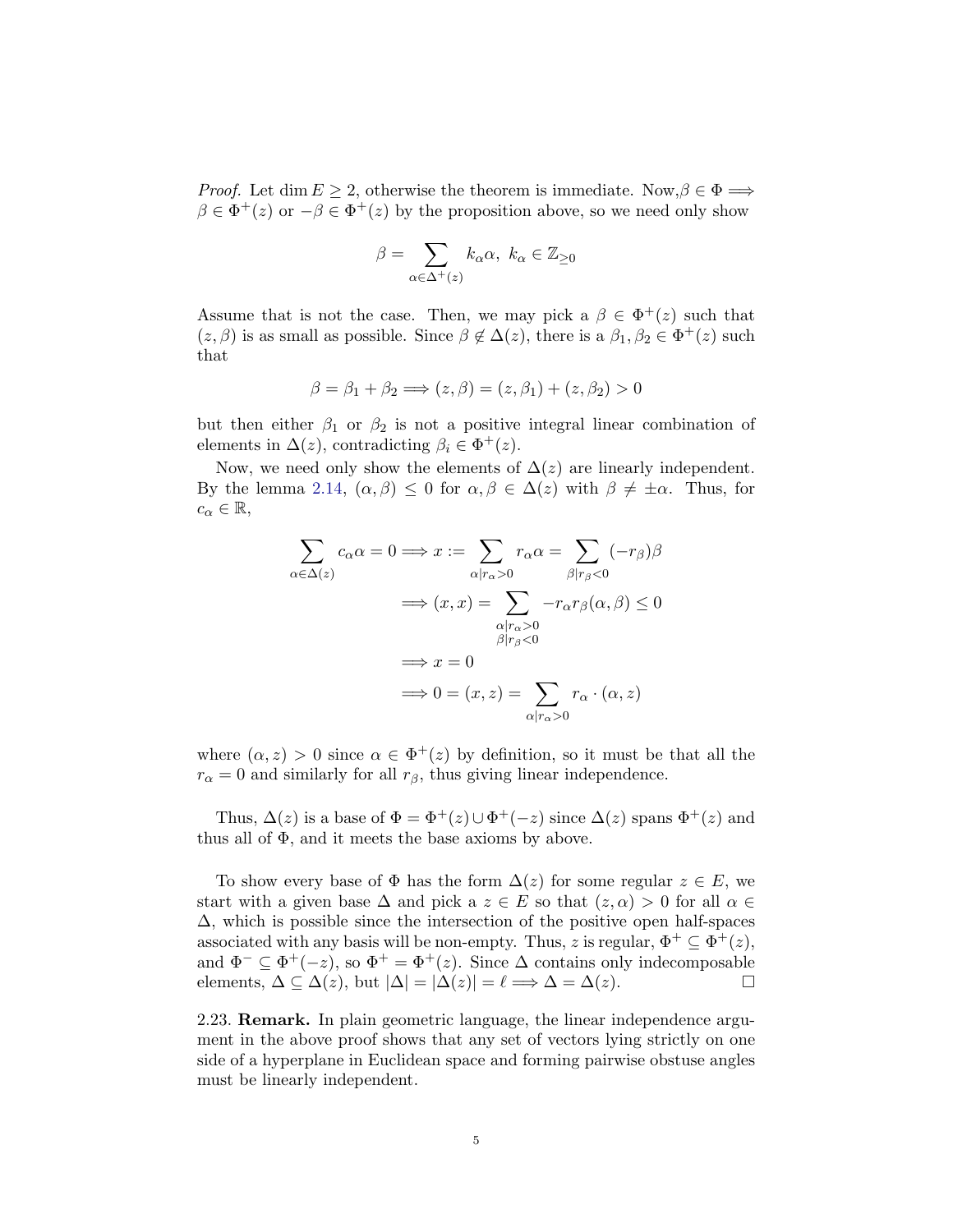*Proof.* Let dim  $E \ge 2$ , otherwise the theorem is immediate. Now,  $\beta \in \Phi \Longrightarrow$  $\beta \in \Phi^+(z)$  or  $-\beta \in \Phi^+(z)$  by the proposition above, so we need only show

$$
\beta = \sum_{\alpha \in \Delta^+(z)} k_{\alpha} \alpha, \ k_{\alpha} \in \mathbb{Z}_{\geq 0}
$$

Assume that is not the case. Then, we may pick a  $\beta \in \Phi^+(z)$  such that  $(z, \beta)$  is as small as possible. Since  $\beta \notin \Delta(z)$ , there is a  $\beta_1, \beta_2 \in \Phi^+(z)$  such that

$$
\beta = \beta_1 + \beta_2 \Longrightarrow (z, \beta) = (z, \beta_1) + (z, \beta_2) > 0
$$

but then either  $\beta_1$  or  $\beta_2$  is not a positive integral linear combination of elements in  $\Delta(z)$ , contradicting  $\beta_i \in \Phi^+(z)$ .

Now, we need only show the elements of  $\Delta(z)$  are linearly independent. By the lemma [2.14,](#page-3-0)  $(\alpha, \beta) \leq 0$  for  $\alpha, \beta \in \Delta(z)$  with  $\beta \neq \pm \alpha$ . Thus, for  $c_{\alpha} \in \mathbb{R},$ 

$$
\sum_{\alpha \in \Delta(z)} c_{\alpha} \alpha = 0 \Longrightarrow x := \sum_{\alpha | r_{\alpha} > 0} r_{\alpha} \alpha = \sum_{\beta | r_{\beta} < 0} (-r_{\beta}) \beta
$$

$$
\Longrightarrow (x, x) = \sum_{\substack{\alpha | r_{\alpha} > 0 \\ \beta | r_{\beta} < 0}} -r_{\alpha} r_{\beta}(\alpha, \beta) \le 0
$$

$$
\Longrightarrow x = 0
$$

$$
\Longrightarrow 0 = (x, z) = \sum_{\alpha | r_{\alpha} > 0} r_{\alpha} \cdot (\alpha, z)
$$

where  $(\alpha, z) > 0$  since  $\alpha \in \Phi^+(z)$  by definition, so it must be that all the  $r_{\alpha} = 0$  and similarly for all  $r_{\beta}$ , thus giving linear independence.

Thus,  $\Delta(z)$  is a base of  $\Phi = \Phi^+(z) \cup \Phi^+(-z)$  since  $\Delta(z)$  spans  $\Phi^+(z)$  and thus all of  $\Phi$ , and it meets the base axioms by above.

To show every base of  $\Phi$  has the form  $\Delta(z)$  for some regular  $z \in E$ , we start with a given base  $\Delta$  and pick a  $z \in E$  so that  $(z, \alpha) > 0$  for all  $\alpha \in$  $\Delta$ , which is possible since the intersection of the positive open half-spaces associated with any basis will be non-empty. Thus, z is regular,  $\Phi^+ \subseteq \Phi^+(z)$ , and  $\Phi^- \subseteq \Phi^+(-z)$ , so  $\Phi^+ = \Phi^+(z)$ . Since  $\Delta$  contains only indecomposable elements,  $\Delta \subseteq \Delta(z)$ , but  $|\Delta| = |\Delta(z)| = \ell \Longrightarrow \Delta = \Delta(z)$ .

2.23. Remark. In plain geometric language, the linear independence argument in the above proof shows that any set of vectors lying strictly on one side of a hyperplane in Euclidean space and forming pairwise obstuse angles must be linearly independent.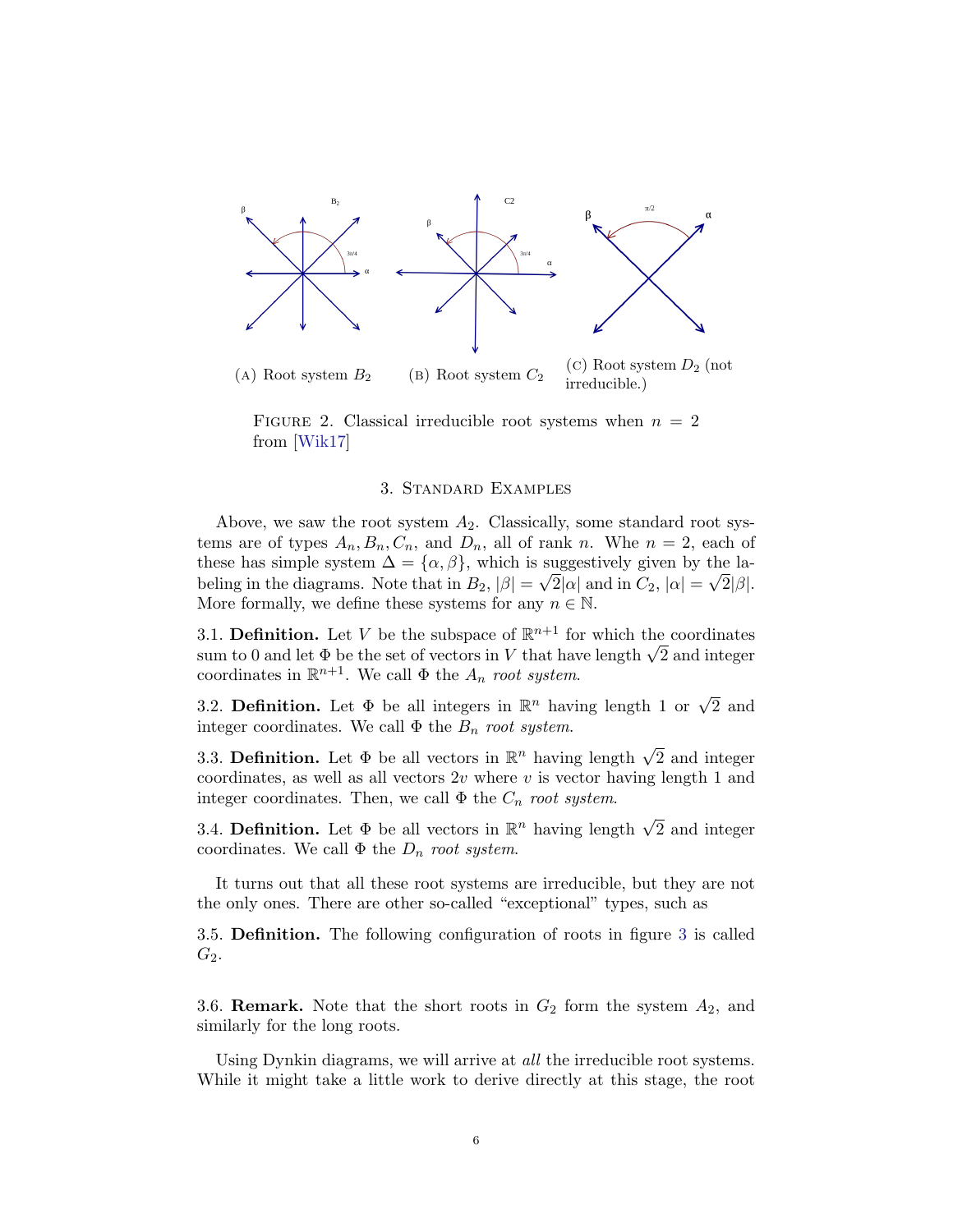

FIGURE 2. Classical irreducible root systems when  $n = 2$ from [\[Wik17\]](#page-24-0)

# 3. Standard Examples

<span id="page-5-0"></span>Above, we saw the root system  $A_2$ . Classically, some standard root systems are of types  $A_n, B_n, C_n$ , and  $D_n$ , all of rank n. Whe  $n = 2$ , each of these has simple system  $\Delta = {\alpha, \beta}$ , which is suggestively given by the labeling in the diagrams. Note that in  $B_2$ ,  $|\beta| = \sqrt{2|\alpha|}$  and in  $C_2$ ,  $|\alpha| = \sqrt{2|\beta|}$ . More formally, we define these systems for any  $n \in \mathbb{N}$ .

3.1. Definition. Let V be the subspace of  $\mathbb{R}^{n+1}$  for which the coordinates 3.1. **Definition.** Let *V* be the subspace of  $\mathbb{R}^{n+1}$  for which the coordinates sum to 0 and let  $\Phi$  be the set of vectors in *V* that have length  $\sqrt{2}$  and integer coordinates in  $\mathbb{R}^{n+1}$ . We call  $\Phi$  the  $A_n$  root system.

3.2. Definition. Let  $\Phi$  be all integers in  $\mathbb{R}^n$  having length 1 or  $\sqrt{2}$  and integer coordinates. We call  $\Phi$  the  $B_n$  root system.

3.3. **Definition.** Let  $\Phi$  be all vectors in  $\mathbb{R}^n$  having length  $\sqrt{2}$  and integer coordinates, as well as all vectors  $2v$  where v is vector having length 1 and integer coordinates. Then, we call  $\Phi$  the  $C_n$  root system.

3.4. Definition. Let  $\Phi$  be all vectors in  $\mathbb{R}^n$  having length  $\sqrt{2}$  and integer coordinates. We call  $\Phi$  the  $D_n$  root system.

It turns out that all these root systems are irreducible, but they are not the only ones. There are other so-called "exceptional" types, such as

3.5. Definition. The following configuration of roots in figure [3](#page-6-0) is called  $G_2$ .

3.6. **Remark.** Note that the short roots in  $G_2$  form the system  $A_2$ , and similarly for the long roots.

Using Dynkin diagrams, we will arrive at all the irreducible root systems. While it might take a little work to derive directly at this stage, the root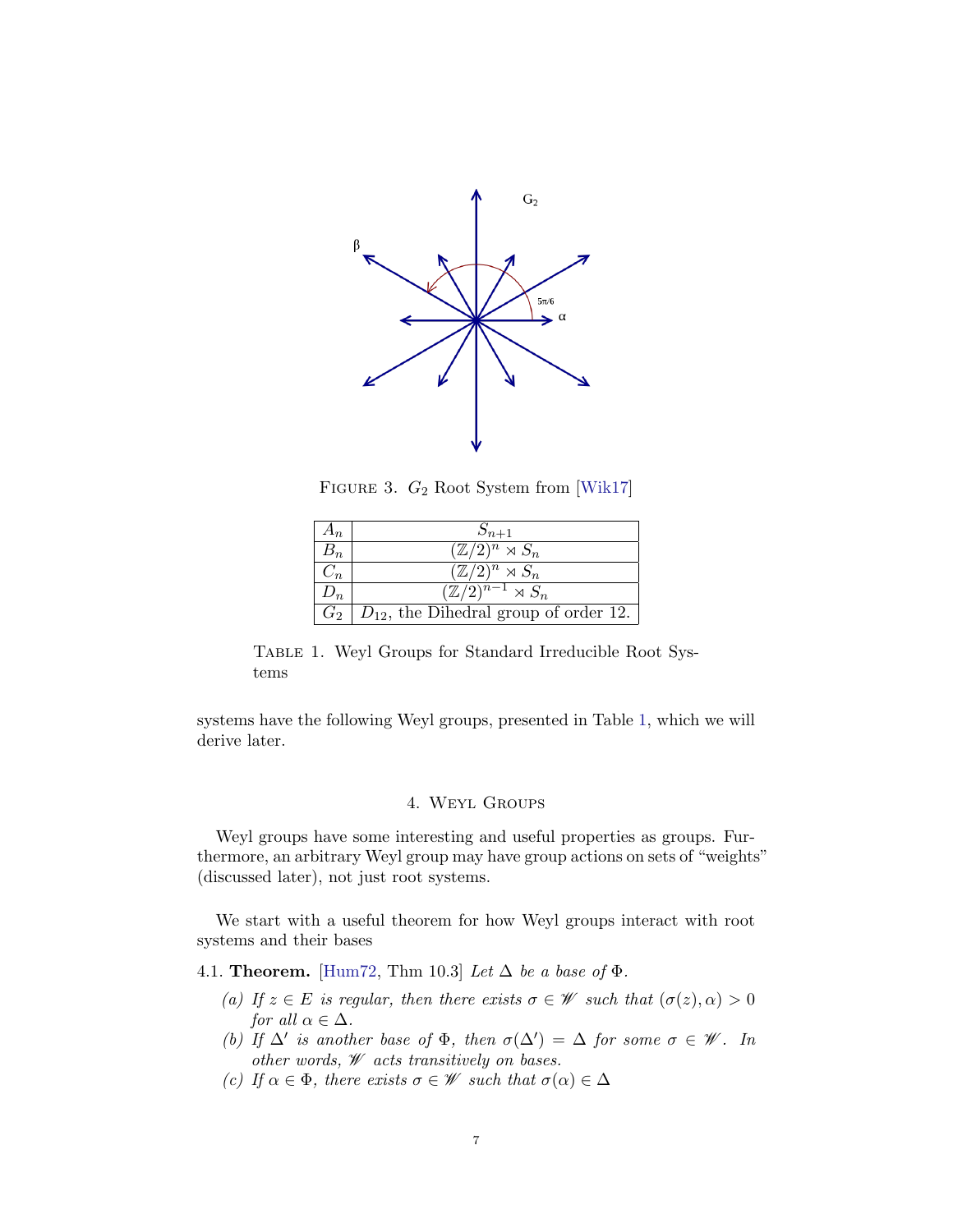<span id="page-6-0"></span>

FIGURE 3.  $G_2$  Root System from [\[Wik17\]](#page-24-0)

<span id="page-6-1"></span>

| $A_{n}$    | $S_{n+1}$                                  |
|------------|--------------------------------------------|
|            | $(\mathbb{Z}/2)^n \rtimes S_n$             |
| $\sqrt{n}$ | $\overline{(\mathbb{Z}/2)^n} \rtimes S_n$  |
| $D_n$      | $\sqrt{\mathbb{Z}/2)^{n-1}} \rtimes S_n$   |
| $G_2$      | $D_{12}$ , the Dihedral group of order 12. |

Table 1. Weyl Groups for Standard Irreducible Root Systems

systems have the following Weyl groups, presented in Table [1,](#page-6-1) which we will derive later.

# 4. Weyl Groups

Weyl groups have some interesting and useful properties as groups. Furthermore, an arbitrary Weyl group may have group actions on sets of "weights" (discussed later), not just root systems.

We start with a useful theorem for how Weyl groups interact with root systems and their bases

<span id="page-6-2"></span>4.1. **Theorem.** [\[Hum72,](#page-24-1) Thm 10.3] Let  $\Delta$  be a base of  $\Phi$ .

- (a) If  $z \in E$  is regular, then there exists  $\sigma \in \mathscr{W}$  such that  $(\sigma(z), \alpha) > 0$ for all  $\alpha \in \Delta$ .
- (b) If  $\Delta'$  is another base of  $\Phi$ , then  $\sigma(\Delta') = \Delta$  for some  $\sigma \in \mathscr{W}$ . In other words,  $\mathcal W$  acts transitively on bases.
- (c) If  $\alpha \in \Phi$ , there exists  $\sigma \in \mathscr{W}$  such that  $\sigma(\alpha) \in \Delta$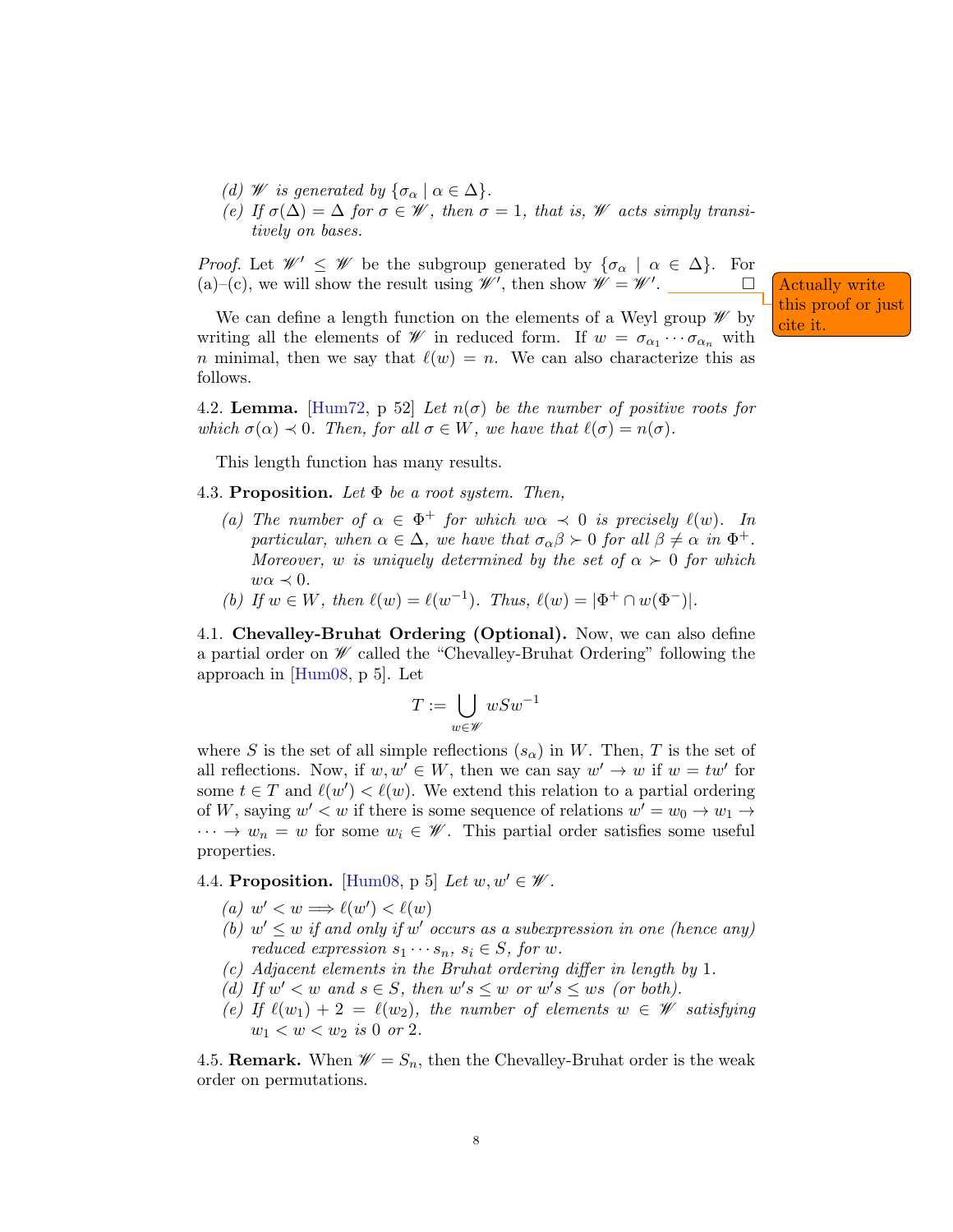- (d) W is generated by  $\{\sigma_{\alpha} \mid \alpha \in \Delta\}.$
- (e) If  $\sigma(\Delta) = \Delta$  for  $\sigma \in \mathscr{W}$ , then  $\sigma = 1$ , that is,  $\mathscr{W}$  acts simply transitively on bases.

*Proof.* Let  $\mathscr{W}' \leq \mathscr{W}$  be the subgroup generated by  $\{\sigma_{\alpha} \mid \alpha \in \Delta\}$ . For (a)–(c), we will show the result using  $\mathscr{W}'$ , then show  $\mathscr{W} = \mathscr{W}'$ 

We can define a length function on the elements of a Weyl group  $\mathcal W$  by  $\left\{\begin{array}{l}\text{this proof or just} \\text{cite it.}\end{array}\right\}$ writing all the elements of  $\mathscr W$  in reduced form. If  $w = \sigma_{\alpha_1} \cdots \sigma_{\alpha_n}$  with n minimal, then we say that  $\ell(w) = n$ . We can also characterize this as follows.

Actually write

4.2. Lemma. [\[Hum72,](#page-24-1) p 52] Let  $n(\sigma)$  be the number of positive roots for which  $\sigma(\alpha) \prec 0$ . Then, for all  $\sigma \in W$ , we have that  $\ell(\sigma) = n(\sigma)$ .

This length function has many results.

4.3. Proposition. Let  $\Phi$  be a root system. Then,

- (a) The number of  $\alpha \in \Phi^+$  for which  $w\alpha \prec 0$  is precisely  $\ell(w)$ . In particular, when  $\alpha \in \Delta$ , we have that  $\sigma_{\alpha}\beta \succ 0$  for all  $\beta \neq \alpha$  in  $\Phi^+$ . Moreover, w is uniquely determined by the set of  $\alpha > 0$  for which  $w\alpha \prec 0$ .
- (b) If  $w \in W$ , then  $\ell(w) = \ell(w^{-1})$ . Thus,  $\ell(w) = |\Phi^+ \cap w(\Phi^-)|$ .

4.1. Chevalley-Bruhat Ordering (Optional). Now, we can also define a partial order on  $\mathscr W$  called the "Chevalley-Bruhat Ordering" following the approach in [\[Hum08,](#page-24-2) p 5]. Let

$$
T:=\bigcup_{w\in\mathscr{W}} wSw^{-1}
$$

where S is the set of all simple reflections  $(s_{\alpha})$  in W. Then, T is the set of all reflections. Now, if  $w, w' \in W$ , then we can say  $w' \to w$  if  $w = tw'$  for some  $t \in T$  and  $\ell(w') < \ell(w)$ . We extend this relation to a partial ordering of W, saying  $w' < w$  if there is some sequence of relations  $w' = w_0 \to w_1 \to$  $\cdots \rightarrow w_n = w$  for some  $w_i \in \mathscr{W}$ . This partial order satisfies some useful properties.

4.4. Proposition. [\[Hum08,](#page-24-2) p 5] Let  $w, w' \in \mathscr{W}$ .

- (a)  $w' < w \Longrightarrow \ell(w') < \ell(w)$
- (b)  $w' \leq w$  if and only if  $w'$  occurs as a subexpression in one (hence any) reduced expression  $s_1 \cdots s_n$ ,  $s_i \in S$ , for w.
- (c) Adjacent elements in the Bruhat ordering differ in length by 1.
- (d) If  $w' < w$  and  $s \in S$ , then  $w's \leq w$  or  $w's \leq ws$  (or both).
- (e) If  $\ell(w_1) + 2 = \ell(w_2)$ , the number of elements  $w \in \mathscr{W}$  satisfying  $w_1 < w < w_2$  is 0 or 2.

4.5. **Remark.** When  $\mathscr{W} = S_n$ , then the Chevalley-Bruhat order is the weak order on permutations.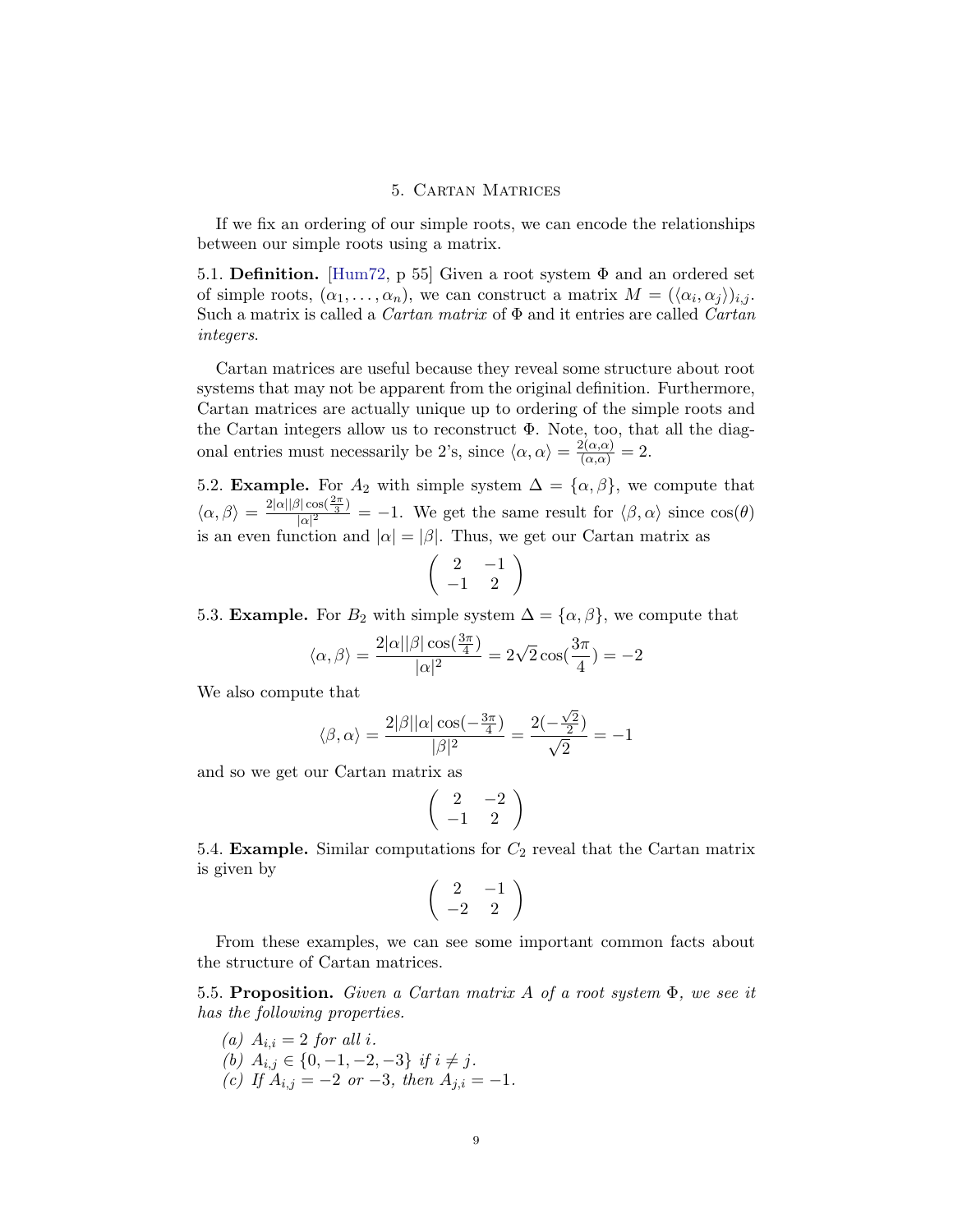# 5. Cartan Matrices

If we fix an ordering of our simple roots, we can encode the relationships between our simple roots using a matrix.

5.1. **Definition.** [\[Hum72,](#page-24-1) p 55] Given a root system  $\Phi$  and an ordered set of simple roots,  $(\alpha_1, \ldots, \alpha_n)$ , we can construct a matrix  $M = (\langle \alpha_i, \alpha_j \rangle)_{i,j}$ . Such a matrix is called a *Cartan matrix* of  $\Phi$  and it entries are called *Cartan* integers.

Cartan matrices are useful because they reveal some structure about root systems that may not be apparent from the original definition. Furthermore, Cartan matrices are actually unique up to ordering of the simple roots and the Cartan integers allow us to reconstruct  $\Phi$ . Note, too, that all the diagonal entries must necessarily be 2's, since  $\langle \alpha, \alpha \rangle = \frac{2(\alpha, \alpha)}{(\alpha, \alpha)} = 2$ .

5.2. **Example.** For  $A_2$  with simple system  $\Delta = {\alpha, \beta}$ , we compute that  $\langle \alpha, \beta \rangle = \frac{2|\alpha||\beta|\cos(\frac{2\pi}{3})}{|\alpha|^2}$  $\frac{\sqrt{\cos(\frac{\pi}{3})}}{|\alpha|^2} = -1$ . We get the same result for  $\langle \beta, \alpha \rangle$  since  $\cos(\theta)$ is an even function and  $|\alpha| = |\beta|$ . Thus, we get our Cartan matrix as

$$
\left(\begin{array}{cc}2 & -1\\-1 & 2\end{array}\right)
$$

5.3. **Example.** For  $B_2$  with simple system  $\Delta = {\alpha, \beta}$ , we compute that

$$
\langle \alpha, \beta \rangle = \frac{2 |\alpha| |\beta| \cos(\frac{3\pi}{4})}{|\alpha|^2} = 2\sqrt{2} \cos(\frac{3\pi}{4}) = -2
$$

We also compute that

$$
\langle \beta, \alpha \rangle = \frac{2|\beta||\alpha|\cos(-\frac{3\pi}{4})}{|\beta|^2} = \frac{2(-\frac{\sqrt{2}}{2})}{\sqrt{2}} = -1
$$

and so we get our Cartan matrix as

$$
\left(\begin{array}{cc}2 & -2\\-1 & 2\end{array}\right)
$$

5.4. **Example.** Similar computations for  $C_2$  reveal that the Cartan matrix is given by

$$
\left(\begin{array}{cc}2 & -1\\-2 & 2\end{array}\right)
$$

From these examples, we can see some important common facts about the structure of Cartan matrices.

5.5. Proposition. Given a Cartan matrix A of a root system  $\Phi$ , we see it has the following properties.

(a)  $A_{i,i} = 2$  for all i. (b)  $A_{i,j} \in \{0, -1, -2, -3\}$  if  $i \neq j$ . (c) If  $A_{i,j} = -2$  or  $-3$ , then  $A_{j,i} = -1$ .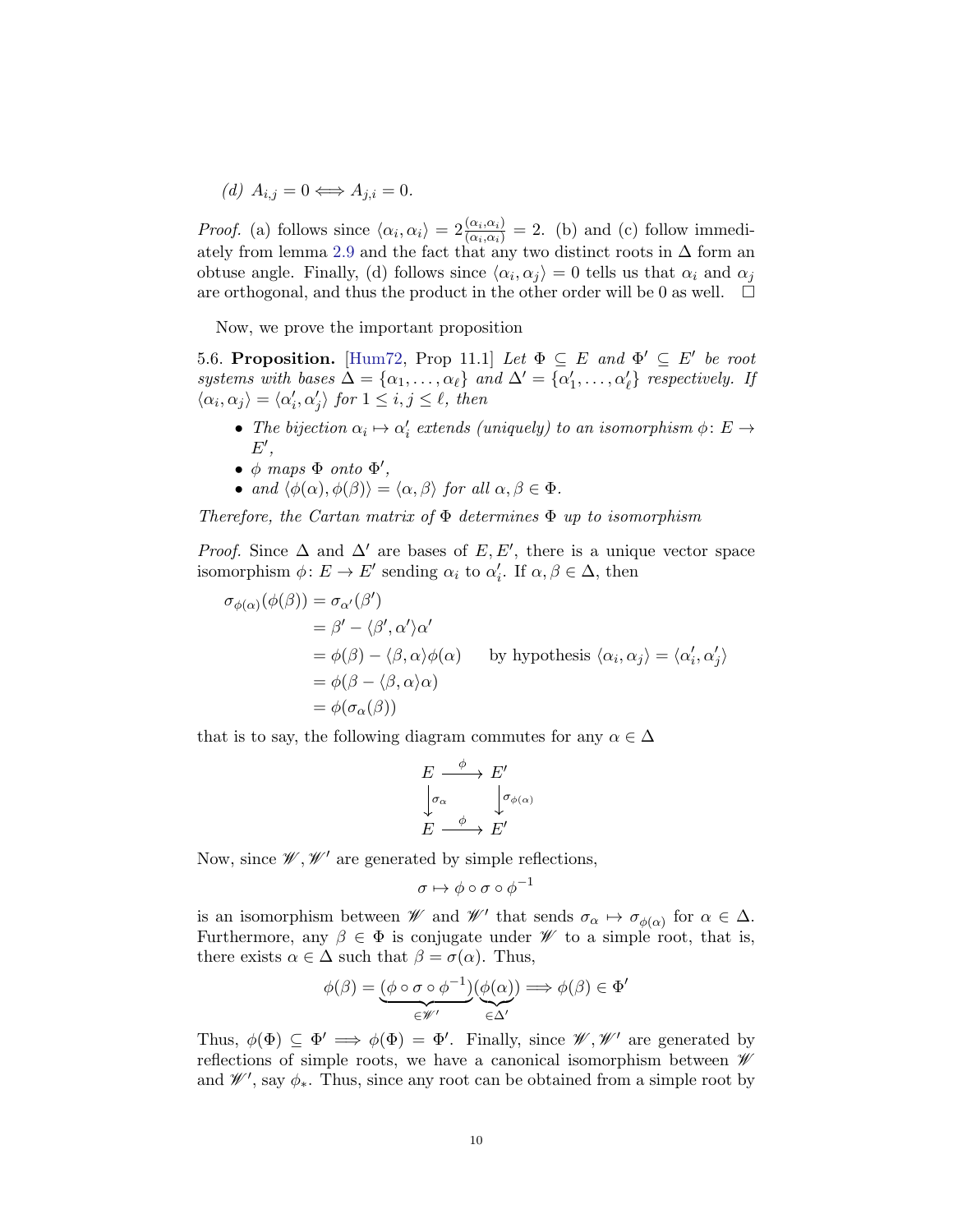(d)  $A_{i,j} = 0 \Longleftrightarrow A_{j,i} = 0.$ 

*Proof.* (a) follows since  $\langle \alpha_i, \alpha_i \rangle = 2 \frac{\langle \alpha_i, \alpha_i \rangle}{\langle \alpha_i, \alpha_i \rangle} = 2$ . (b) and (c) follow immedi-ately from lemma [2.9](#page-2-0) and the fact that any two distinct roots in  $\Delta$  form an obtuse angle. Finally, (d) follows since  $\langle \alpha_i, \alpha_j \rangle = 0$  tells us that  $\alpha_i$  and  $\alpha_j$ are orthogonal, and thus the product in the other order will be 0 as well.  $\Box$ 

Now, we prove the important proposition

5.6. Proposition. [\[Hum72,](#page-24-1) Prop 11.1] Let  $\Phi \subseteq E$  and  $\Phi' \subseteq E'$  be root systems with bases  $\Delta = {\alpha_1, ..., \alpha_\ell}$  and  $\Delta' = {\alpha'_1, ..., \alpha'_\ell}$  respectively. If  $\langle \alpha_i, \alpha_j \rangle = \langle \alpha'_i, \alpha'_j \rangle$  for  $1 \leq i, j \leq \ell$ , then

- The bijection  $\alpha_i \mapsto \alpha'_i$  extends (uniquely) to an isomorphism  $\phi: E \to$  $E',$
- $\phi$  maps  $\Phi$  onto  $\Phi'$ ,
- and  $\langle \phi(\alpha), \phi(\beta) \rangle = \langle \alpha, \beta \rangle$  for all  $\alpha, \beta \in \Phi$ .

Therefore, the Cartan matrix of  $\Phi$  determines  $\Phi$  up to isomorphism

*Proof.* Since  $\Delta$  and  $\Delta'$  are bases of  $E, E'$ , there is a unique vector space isomorphism  $\phi: E \to E'$  sending  $\alpha_i$  to  $\alpha'_i$ . If  $\alpha, \beta \in \Delta$ , then

$$
\sigma_{\phi(\alpha)}(\phi(\beta)) = \sigma_{\alpha'}(\beta')
$$
  
\n
$$
= \beta' - \langle \beta', \alpha' \rangle \alpha'
$$
  
\n
$$
= \phi(\beta) - \langle \beta, \alpha \rangle \phi(\alpha)
$$
 by hypothesis  $\langle \alpha_i, \alpha_j \rangle = \langle \alpha'_i, \alpha'_j \rangle$   
\n
$$
= \phi(\beta - \langle \beta, \alpha \rangle \alpha)
$$
  
\n
$$
= \phi(\sigma_{\alpha}(\beta))
$$

that is to say, the following diagram commutes for any  $\alpha \in \Delta$ 

$$
E \xrightarrow{\phi} E'
$$
  
\n
$$
\downarrow{\sigma_{\alpha}} \qquad \downarrow{\sigma_{\phi(\alpha)}}
$$
  
\n
$$
E \xrightarrow{\phi} E'
$$

Now, since  $\mathscr{W}, \mathscr{W}'$  are generated by simple reflections,

$$
\sigma\mapsto \phi\circ\sigma\circ\phi^{-1}
$$

is an isomorphism between *W* and *W'* that sends  $\sigma_{\alpha} \mapsto \sigma_{\phi(\alpha)}$  for  $\alpha \in \Delta$ . Furthermore, any  $\beta \in \Phi$  is conjugate under  $\mathscr W$  to a simple root, that is, there exists  $\alpha \in \Delta$  such that  $\beta = \sigma(\alpha)$ . Thus,

$$
\phi(\beta) = \underbrace{(\phi \circ \sigma \circ \phi^{-1})(\phi(\alpha))}_{\in \mathscr{W}'} \Longrightarrow \phi(\beta) \in \Phi'
$$

Thus,  $\phi(\Phi) \subseteq \Phi' \implies \phi(\Phi) = \Phi'$ . Finally, since  $\mathscr{W}, \mathscr{W}'$  are generated by reflections of simple roots, we have a canonical isomorphism between  $\mathscr W$ and  $\mathscr{W}'$ , say  $\phi_*$ . Thus, since any root can be obtained from a simple root by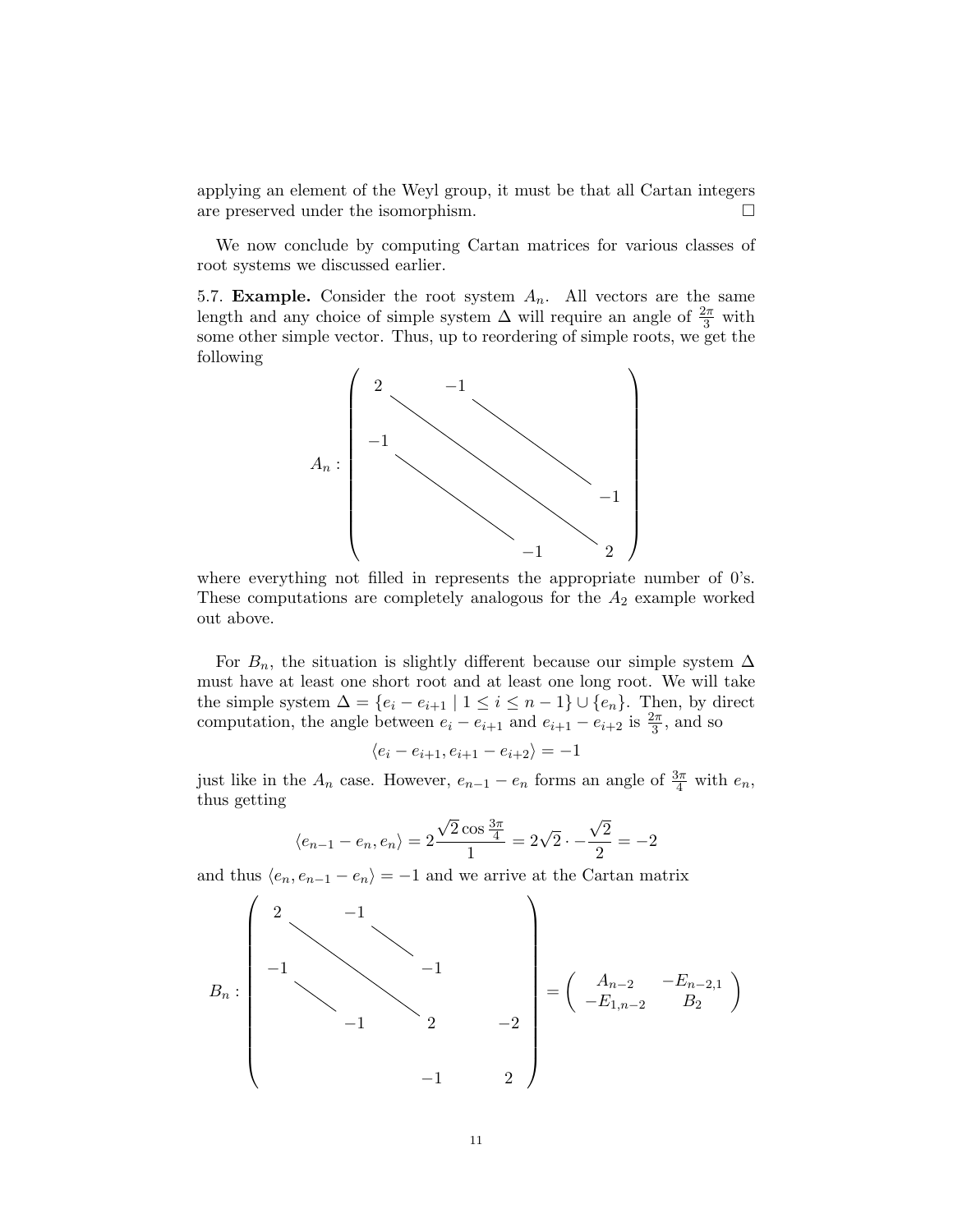applying an element of the Weyl group, it must be that all Cartan integers are preserved under the isomorphism.

We now conclude by computing Cartan matrices for various classes of root systems we discussed earlier.

5.7. **Example.** Consider the root system  $A_n$ . All vectors are the same length and any choice of simple system  $\Delta$  will require an angle of  $\frac{2\pi}{3}$  with some other simple vector. Thus, up to reordering of simple roots, we get the following



where everything not filled in represents the appropriate number of 0's. These computations are completely analogous for the  $A_2$  example worked out above.

For  $B_n$ , the situation is slightly different because our simple system  $\Delta$ must have at least one short root and at least one long root. We will take the simple system  $\Delta = \{e_i - e_{i+1} \mid 1 \leq i \leq n-1\} \cup \{e_n\}$ . Then, by direct computation, the angle between  $e_i - e_{i+1}$  and  $e_{i+1} - e_{i+2}$  is  $\frac{2\pi}{3}$ , and so

$$
\langle e_i - e_{i+1}, e_{i+1} - e_{i+2} \rangle = -1
$$

just like in the  $A_n$  case. However,  $e_{n-1} - e_n$  forms an angle of  $\frac{3\pi}{4}$  with  $e_n$ , thus getting

$$
\langle e_{n-1} - e_n, e_n \rangle = 2 \frac{\sqrt{2} \cos \frac{3\pi}{4}}{1} = 2\sqrt{2} \cdot -\frac{\sqrt{2}}{2} = -2
$$

and thus  $\langle e_n, e_{n-1} - e_n \rangle = -1$  and we arrive at the Cartan matrix

$$
B_n: \begin{pmatrix} 2 & -1 & & & \\ & -1 & & & & \\ & & -1 & & & \\ & & -1 & & 2 & -2 \\ & & & & -1 & & 2 \end{pmatrix} = \begin{pmatrix} A_{n-2} & -E_{n-2,1} \\ -E_{1,n-2} & B_2 \end{pmatrix}
$$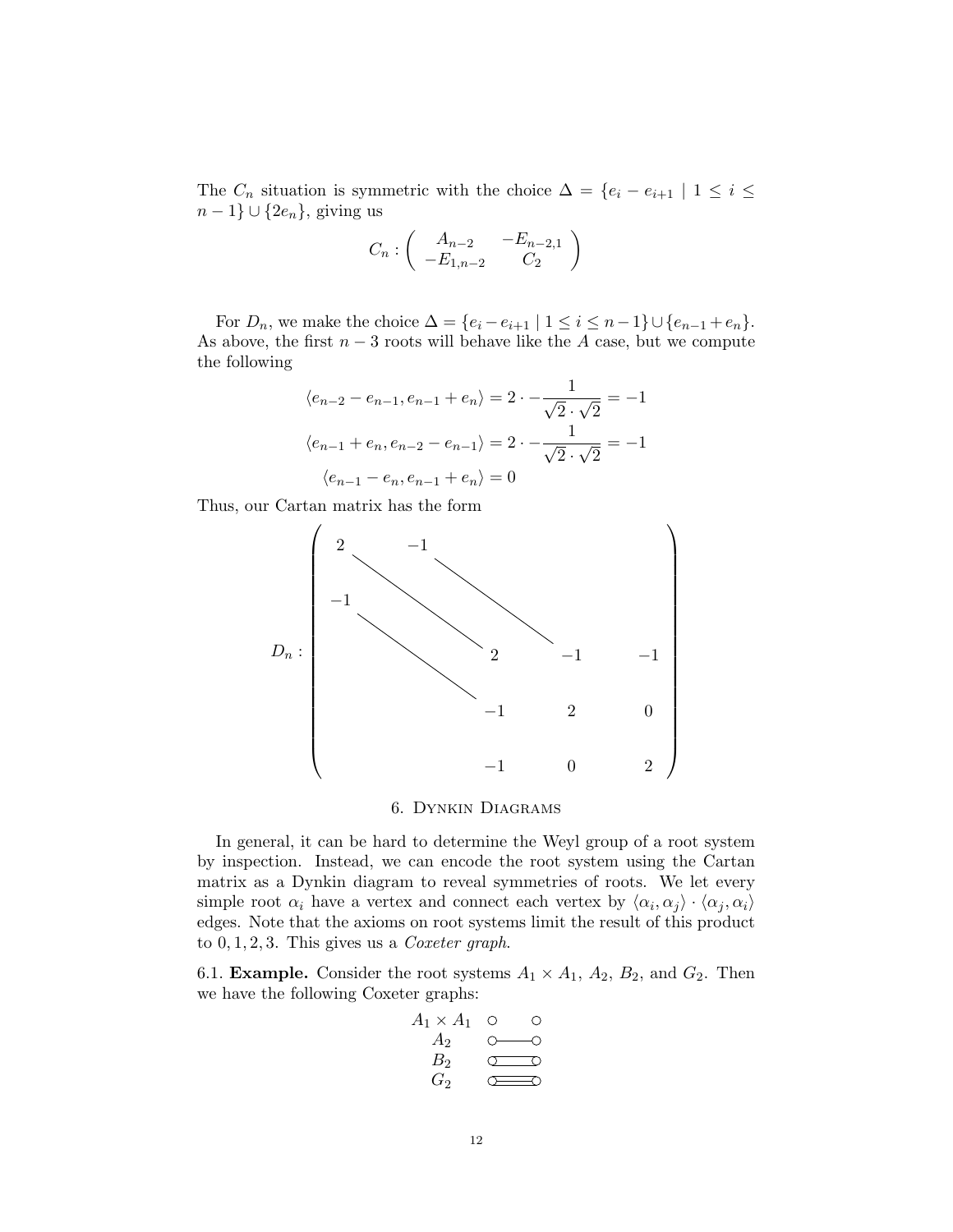The  $C_n$  situation is symmetric with the choice  $\Delta = \{e_i - e_{i+1} \mid 1 \leq i \leq n\}$  $n-1\} \cup \{2e_n\}$ , giving us

$$
C_n: \left( \begin{array}{cc} A_{n-2} & -E_{n-2,1} \\ -E_{1,n-2} & C_2 \end{array} \right)
$$

For  $D_n$ , we make the choice  $\Delta = \{e_i - e_{i+1} \mid 1 \leq i \leq n-1\} \cup \{e_{n-1} + e_n\}.$ As above, the first  $n-3$  roots will behave like the A case, but we compute the following

$$
\langle e_{n-2} - e_{n-1}, e_{n-1} + e_n \rangle = 2 \cdot - \frac{1}{\sqrt{2} \cdot \sqrt{2}} = -1
$$
  

$$
\langle e_{n-1} + e_n, e_{n-2} - e_{n-1} \rangle = 2 \cdot - \frac{1}{\sqrt{2} \cdot \sqrt{2}} = -1
$$
  

$$
\langle e_{n-1} - e_n, e_{n-1} + e_n \rangle = 0
$$

Thus, our Cartan matrix has the form



### 6. Dynkin Diagrams

In general, it can be hard to determine the Weyl group of a root system by inspection. Instead, we can encode the root system using the Cartan matrix as a Dynkin diagram to reveal symmetries of roots. We let every simple root  $\alpha_i$  have a vertex and connect each vertex by  $\langle \alpha_i, \alpha_j \rangle \cdot \langle \alpha_j, \alpha_i \rangle$ edges. Note that the axioms on root systems limit the result of this product to  $0, 1, 2, 3$ . This gives us a *Coxeter graph*.

6.1. **Example.** Consider the root systems  $A_1 \times A_1$ ,  $A_2$ ,  $B_2$ , and  $G_2$ . Then we have the following Coxeter graphs:

$$
\begin{array}{ccc}\nA_1 \times A_1 & \circ & \circ \\
A_2 & \circ & \circ \\
B_2 & \circ & \circ \\
G_2 & \circ & \circ\n\end{array}
$$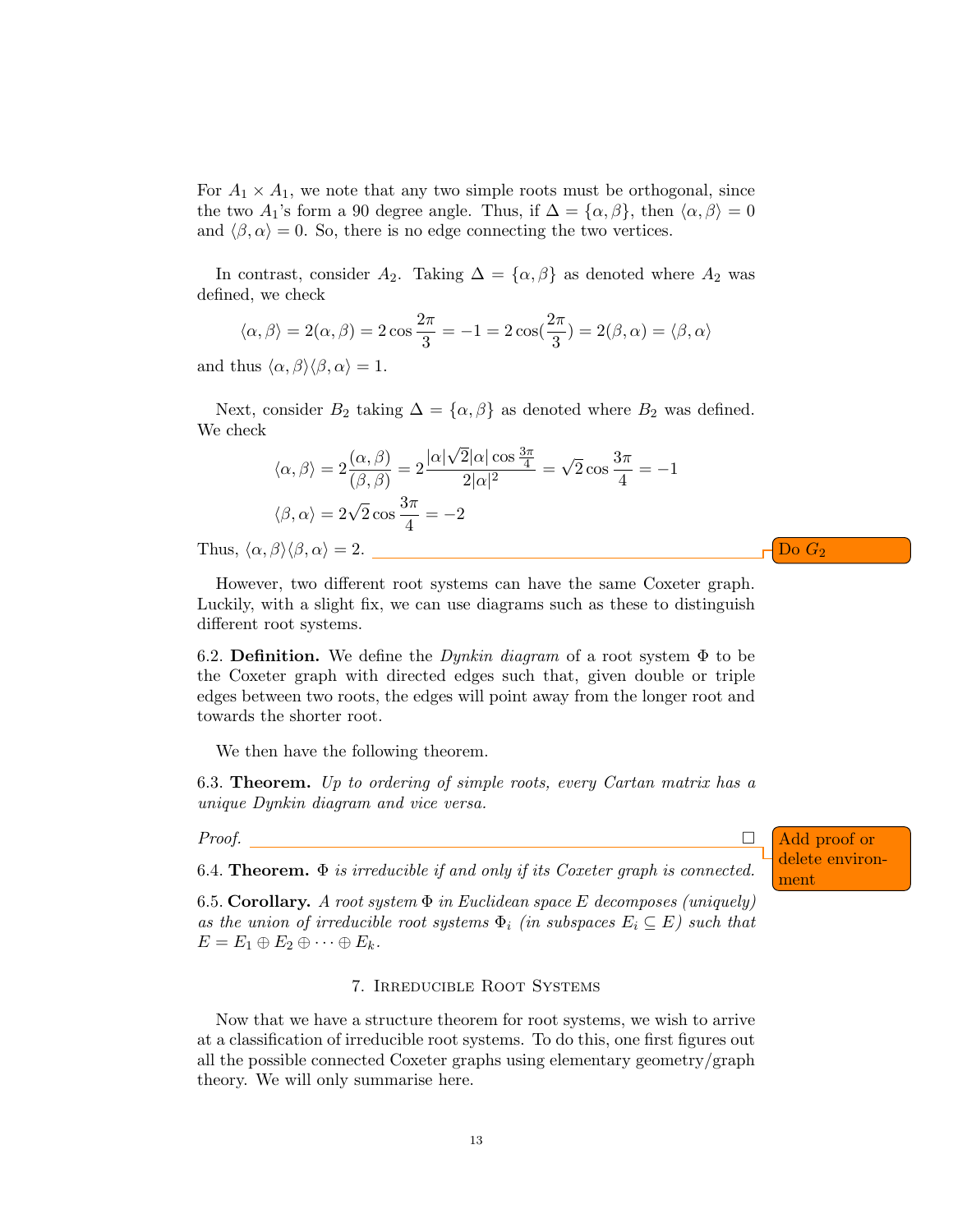For  $A_1 \times A_1$ , we note that any two simple roots must be orthogonal, since the two  $A_1$ 's form a 90 degree angle. Thus, if  $\Delta = {\alpha, \beta}$ , then  $\langle \alpha, \beta \rangle = 0$ and  $\langle \beta, \alpha \rangle = 0$ . So, there is no edge connecting the two vertices.

In contrast, consider  $A_2$ . Taking  $\Delta = {\alpha, \beta}$  as denoted where  $A_2$  was defined, we check

$$
\langle \alpha, \beta \rangle = 2(\alpha, \beta) = 2 \cos \frac{2\pi}{3} = -1 = 2 \cos(\frac{2\pi}{3}) = 2(\beta, \alpha) = \langle \beta, \alpha \rangle
$$

and thus  $\langle \alpha, \beta \rangle \langle \beta, \alpha \rangle = 1$ .

Next, consider  $B_2$  taking  $\Delta = {\alpha, \beta}$  as denoted where  $B_2$  was defined. We check √

$$
\langle \alpha, \beta \rangle = 2 \frac{(\alpha, \beta)}{(\beta, \beta)} = 2 \frac{|\alpha|\sqrt{2}|\alpha| \cos \frac{3\pi}{4}}{2|\alpha|^2} = \sqrt{2} \cos \frac{3\pi}{4} = -1
$$
  

$$
\langle \beta, \alpha \rangle = 2\sqrt{2} \cos \frac{3\pi}{4} = -2
$$

Thus,  $\langle \alpha, \beta \rangle \langle \beta, \alpha \rangle = 2$ .

However, two different root systems can have the same Coxeter graph. Luckily, with a slight fix, we can use diagrams such as these to distinguish different root systems.

6.2. Definition. We define the *Dynkin diagram* of a root system  $\Phi$  to be the Coxeter graph with directed edges such that, given double or triple edges between two roots, the edges will point away from the longer root and towards the shorter root.

We then have the following theorem.

6.3. **Theorem.** Up to ordering of simple roots, every Cartan matrix has a unique Dynkin diagram and vice versa.

*Proof.* □ Add proof or

6.4. Theorem.  $\Phi$  is irreducible if and only if its Coxeter graph is connected.  $\frac{u}{m \cdot n}$ 

6.5. Corollary. A root system  $\Phi$  in Euclidean space E decomposes (uniquely) as the union of irreducible root systems  $\Phi_i$  (in subspaces  $E_i \subseteq E$ ) such that  $E = E_1 \oplus E_2 \oplus \cdots \oplus E_k.$ 

# 7. Irreducible Root Systems

Now that we have a structure theorem for root systems, we wish to arrive at a classification of irreducible root systems. To do this, one first figures out all the possible connected Coxeter graphs using elementary geometry/graph theory. We will only summarise here.

delete environ-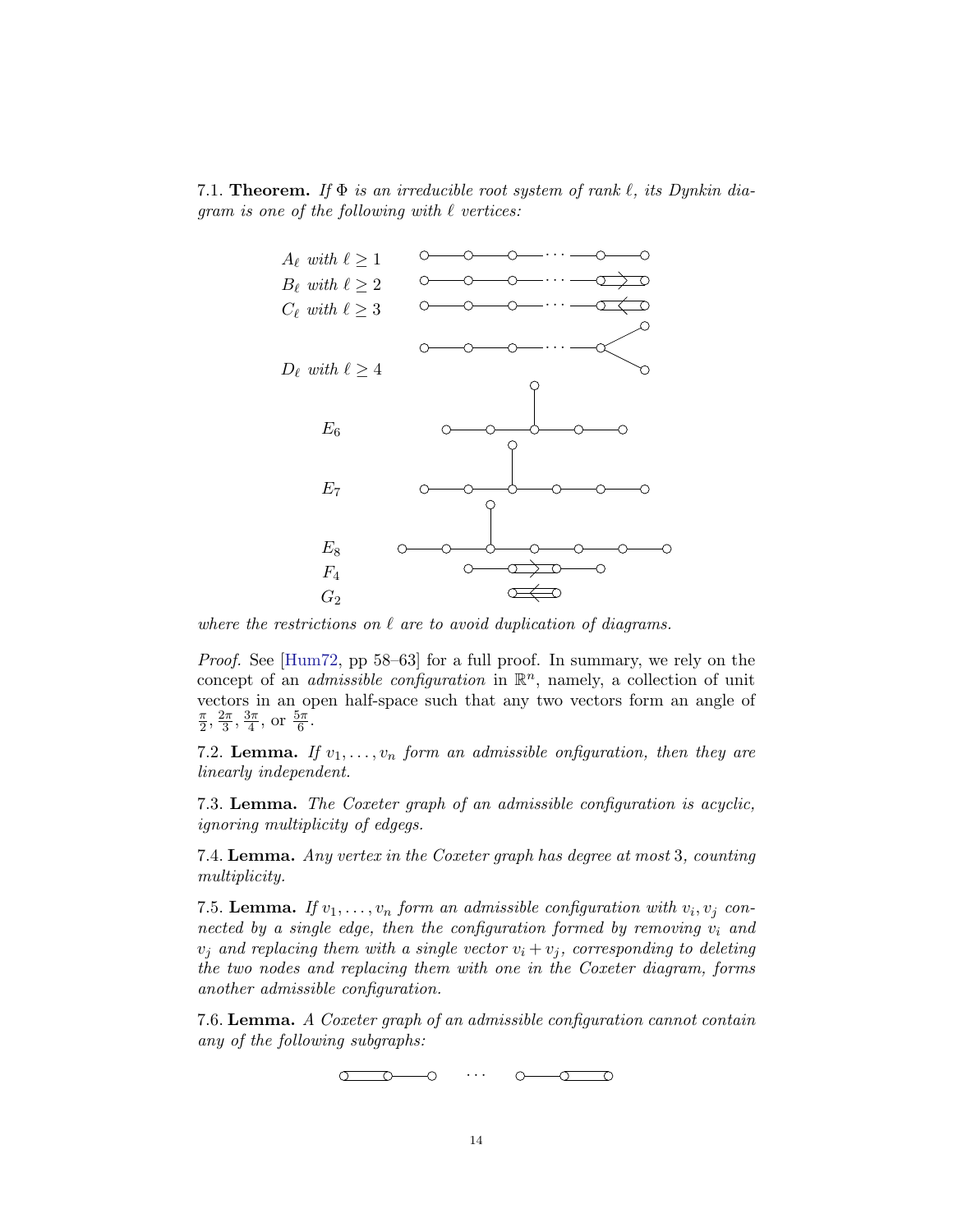7.1. **Theorem.** If  $\Phi$  is an irreducible root system of rank  $\ell$ , its Dynkin diagram is one of the following with  $\ell$  vertices:



where the restrictions on  $\ell$  are to avoid duplication of diagrams.

Proof. See [\[Hum72,](#page-24-1) pp 58–63] for a full proof. In summary, we rely on the concept of an *admissible configuration* in  $\mathbb{R}^n$ , namely, a collection of unit vectors in an open half-space such that any two vectors form an angle of  $\overline{\pi}$  $\frac{\pi}{2}, \frac{2\pi}{3}$  $\frac{2\pi}{3}, \frac{3\pi}{4}$  $\frac{3\pi}{4}$ , or  $\frac{5\pi}{6}$ .

7.2. Lemma. If  $v_1, \ldots, v_n$  form an admissible onfiguration, then they are linearly independent.

7.3. Lemma. The Coxeter graph of an admissible configuration is acyclic, ignoring multiplicity of edgegs.

7.4. Lemma. Any vertex in the Coxeter graph has degree at most 3, counting multiplicity.

7.5. Lemma. If  $v_1, \ldots, v_n$  form an admissible configuration with  $v_i, v_j$  connected by a single edge, then the configuration formed by removing  $v_i$  and  $v_j$  and replacing them with a single vector  $v_i + v_j$ , corresponding to deleting the two nodes and replacing them with one in the Coxeter diagram, forms another admissible configuration.

7.6. Lemma. A Coxeter graph of an admissible configuration cannot contain any of the following subgraphs:

> · · ·  $\sigma$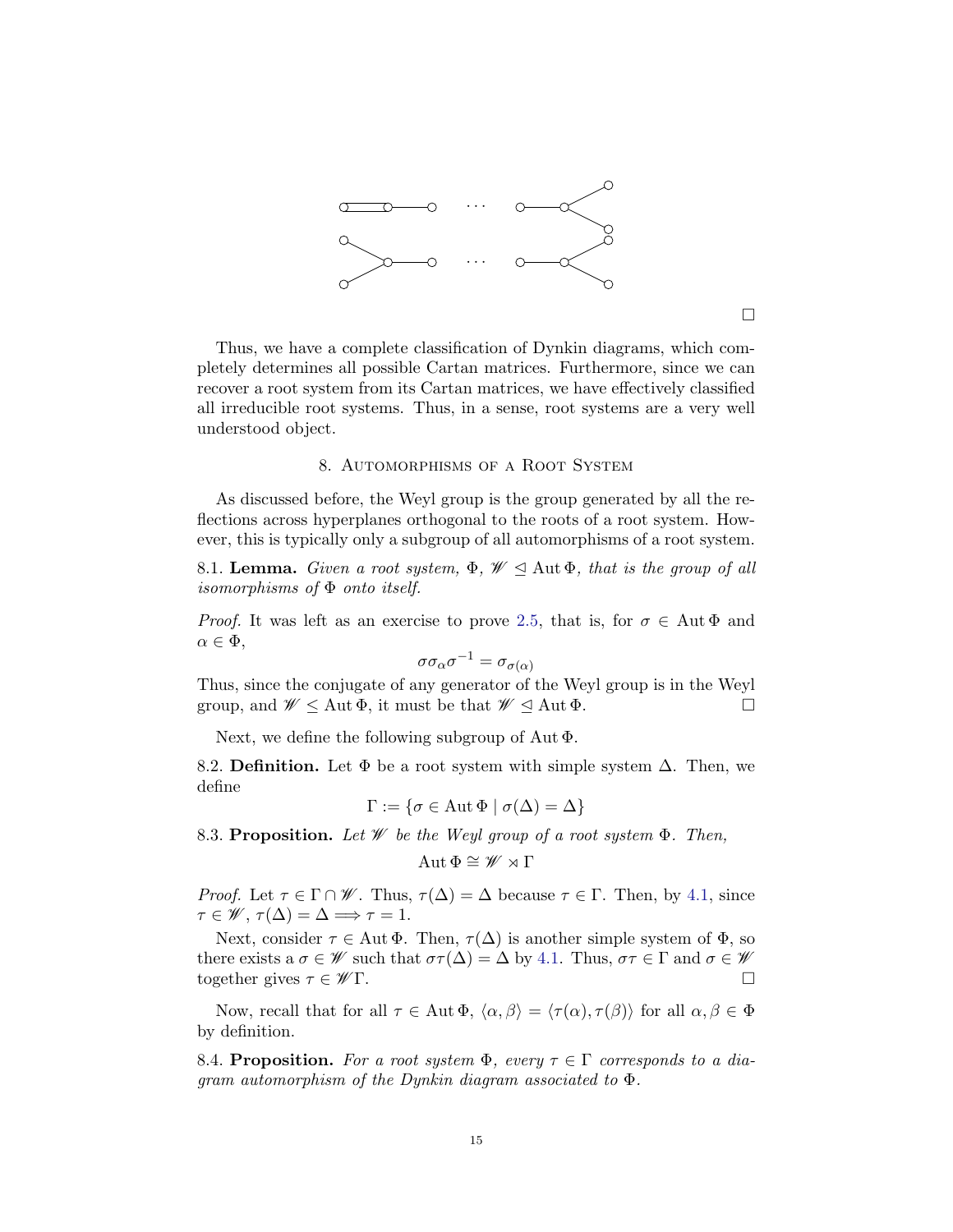

 $\Box$ 

Thus, we have a complete classification of Dynkin diagrams, which completely determines all possible Cartan matrices. Furthermore, since we can recover a root system from its Cartan matrices, we have effectively classified all irreducible root systems. Thus, in a sense, root systems are a very well understood object.

#### 8. Automorphisms of a Root System

As discussed before, the Weyl group is the group generated by all the reflections across hyperplanes orthogonal to the roots of a root system. However, this is typically only a subgroup of all automorphisms of a root system.

8.1. Lemma. Given a root system,  $\Phi$ ,  $\mathscr{W} \trianglelefteq$  Aut  $\Phi$ , that is the group of all isomorphisms of Φ onto itself.

*Proof.* It was left as an exercise to prove [2.5,](#page-1-0) that is, for  $\sigma \in \text{Aut}\,\Phi$  and  $\alpha \in \Phi$ ,

$$
\sigma \sigma_\alpha \sigma^{-1} = \sigma_{\sigma(\alpha)}
$$

Thus, since the conjugate of any generator of the Weyl group is in the Weyl group, and  $\mathscr{W} \leq$  Aut  $\Phi$ , it must be that  $\mathscr{W} \leq$  Aut  $\Phi$ .

Next, we define the following subgroup of Aut Φ.

8.2. Definition. Let  $\Phi$  be a root system with simple system  $\Delta$ . Then, we define

$$
\Gamma := \{ \sigma \in \text{Aut } \Phi \mid \sigma(\Delta) = \Delta \}
$$

8.3. Proposition. Let W be the Weyl group of a root system  $\Phi$ . Then,

$$
\operatorname{Aut} \Phi \cong \mathscr{W} \rtimes \Gamma
$$

*Proof.* Let  $\tau \in \Gamma \cap \mathscr{W}$ . Thus,  $\tau(\Delta) = \Delta$  because  $\tau \in \Gamma$ . Then, by [4.1,](#page-6-2) since  $\tau \in \mathscr{W}, \tau(\Delta) = \Delta \Longrightarrow \tau = 1.$ 

Next, consider  $\tau \in \text{Aut } \Phi$ . Then,  $\tau(\Delta)$  is another simple system of  $\Phi$ , so there exists a  $\sigma \in \mathscr{W}$  such that  $\sigma\tau(\Delta) = \Delta$  by [4.1.](#page-6-2) Thus,  $\sigma\tau \in \Gamma$  and  $\sigma \in \mathscr{W}$ together gives  $\tau \in \mathscr{W}\Gamma$ .

Now, recall that for all  $\tau \in \text{Aut } \Phi$ ,  $\langle \alpha, \beta \rangle = \langle \tau(\alpha), \tau(\beta) \rangle$  for all  $\alpha, \beta \in \Phi$ by definition.

8.4. Proposition. For a root system  $\Phi$ , every  $\tau \in \Gamma$  corresponds to a diagram automorphism of the Dynkin diagram associated to Φ.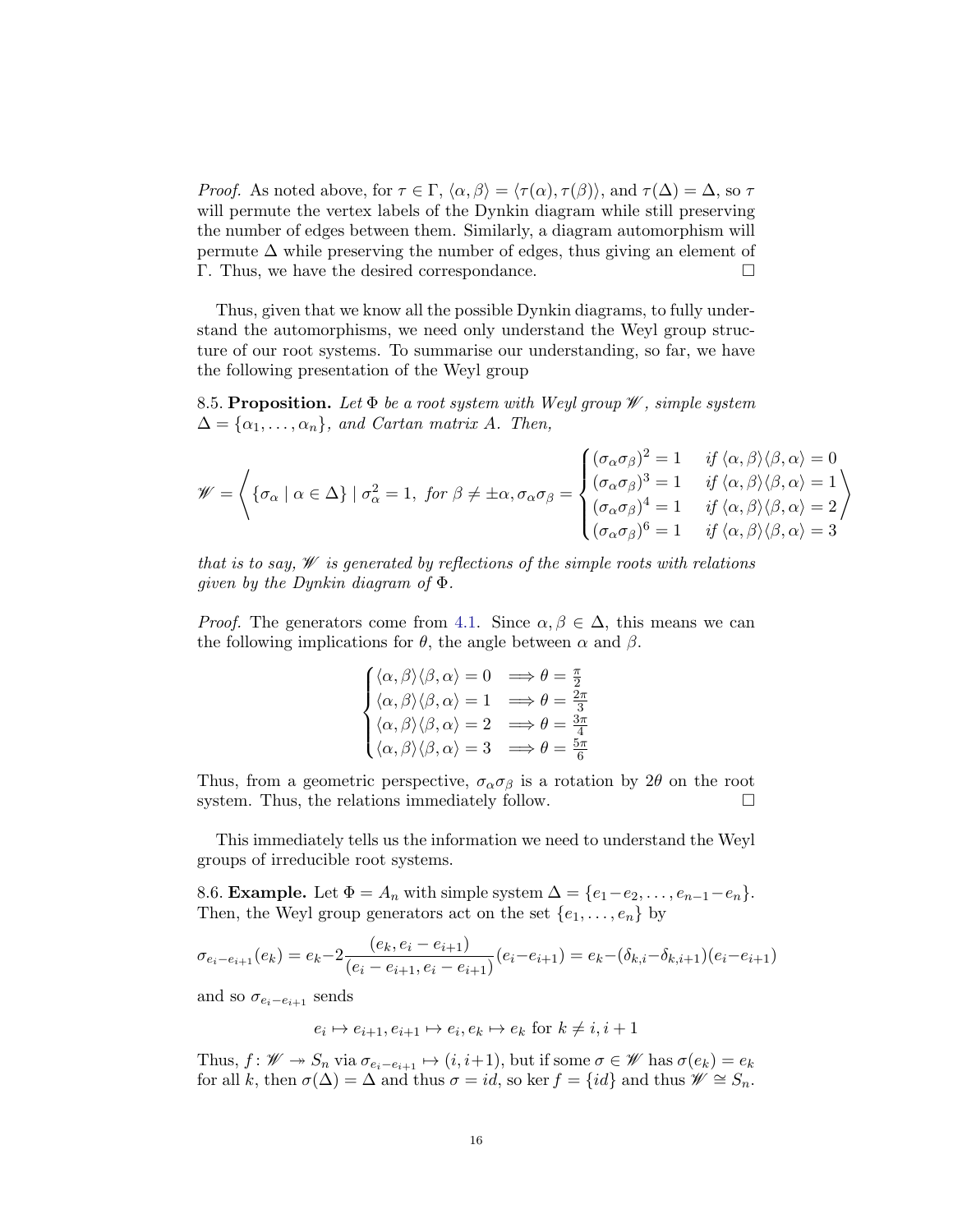*Proof.* As noted above, for  $\tau \in \Gamma$ ,  $\langle \alpha, \beta \rangle = \langle \tau(\alpha), \tau(\beta) \rangle$ , and  $\tau(\Delta) = \Delta$ , so  $\tau$ will permute the vertex labels of the Dynkin diagram while still preserving the number of edges between them. Similarly, a diagram automorphism will permute  $\Delta$  while preserving the number of edges, thus giving an element of Γ. Thus, we have the desired correspondance.

Thus, given that we know all the possible Dynkin diagrams, to fully understand the automorphisms, we need only understand the Weyl group structure of our root systems. To summarise our understanding, so far, we have the following presentation of the Weyl group

8.5. Proposition. Let  $\Phi$  be a root system with Weyl group  $\mathscr W$ , simple system  $\Delta = {\alpha_1, \ldots, \alpha_n}$ , and Cartan matrix A. Then,

$$
\mathscr{W} = \left\{ \{ \sigma_{\alpha} \mid \alpha \in \Delta \} \mid \sigma_{\alpha}^{2} = 1, \text{ for } \beta \neq \pm \alpha, \sigma_{\alpha} \sigma_{\beta} = \begin{cases} (\sigma_{\alpha} \sigma_{\beta})^{2} = 1 & \text{ if } \langle \alpha, \beta \rangle \langle \beta, \alpha \rangle = 0 \\ (\sigma_{\alpha} \sigma_{\beta})^{3} = 1 & \text{ if } \langle \alpha, \beta \rangle \langle \beta, \alpha \rangle = 1 \\ (\sigma_{\alpha} \sigma_{\beta})^{4} = 1 & \text{ if } \langle \alpha, \beta \rangle \langle \beta, \alpha \rangle = 2 \\ (\sigma_{\alpha} \sigma_{\beta})^{6} = 1 & \text{ if } \langle \alpha, \beta \rangle \langle \beta, \alpha \rangle = 3 \end{cases} \right\}
$$

that is to say,  $\mathscr W$  is generated by reflections of the simple roots with relations given by the Dynkin diagram of Φ.

*Proof.* The generators come from [4.1.](#page-6-2) Since  $\alpha, \beta \in \Delta$ , this means we can the following implications for  $\theta$ , the angle between  $\alpha$  and  $\beta$ .

$$
\begin{cases} \langle \alpha, \beta \rangle \langle \beta, \alpha \rangle = 0 & \implies \theta = \frac{\pi}{2} \\ \langle \alpha, \beta \rangle \langle \beta, \alpha \rangle = 1 & \implies \theta = \frac{2\pi}{3} \\ \langle \alpha, \beta \rangle \langle \beta, \alpha \rangle = 2 & \implies \theta = \frac{3\pi}{4} \\ \langle \alpha, \beta \rangle \langle \beta, \alpha \rangle = 3 & \implies \theta = \frac{5\pi}{6} \end{cases}
$$

Thus, from a geometric perspective,  $\sigma_{\alpha}\sigma_{\beta}$  is a rotation by 2 $\theta$  on the root system. Thus, the relations immediately follow.

This immediately tells us the information we need to understand the Weyl groups of irreducible root systems.

8.6. **Example.** Let  $\Phi = A_n$  with simple system  $\Delta = \{e_1 - e_2, \ldots, e_{n-1} - e_n\}.$ Then, the Weyl group generators act on the set  $\{e_1, \ldots, e_n\}$  by

$$
\sigma_{e_i - e_{i+1}}(e_k) = e_k - 2 \frac{(e_k, e_i - e_{i+1})}{(e_i - e_{i+1}, e_i - e_{i+1})} (e_i - e_{i+1}) = e_k - (\delta_{k,i} - \delta_{k,i+1})(e_i - e_{i+1})
$$

and so  $\sigma_{e_i-e_{i+1}}$  sends

$$
e_i \mapsto e_{i+1}, e_{i+1} \mapsto e_i, e_k \mapsto e_k \text{ for } k \neq i, i+1
$$

Thus,  $f: W \to S_n$  via  $\sigma_{e_i-e_{i+1}} \mapsto (i, i+1)$ , but if some  $\sigma \in W$  has  $\sigma(e_k) = e_k$ for all k, then  $\sigma(\Delta) = \Delta$  and thus  $\sigma = id$ , so ker  $f = \{id\}$  and thus  $\mathscr{W} \cong S_n$ .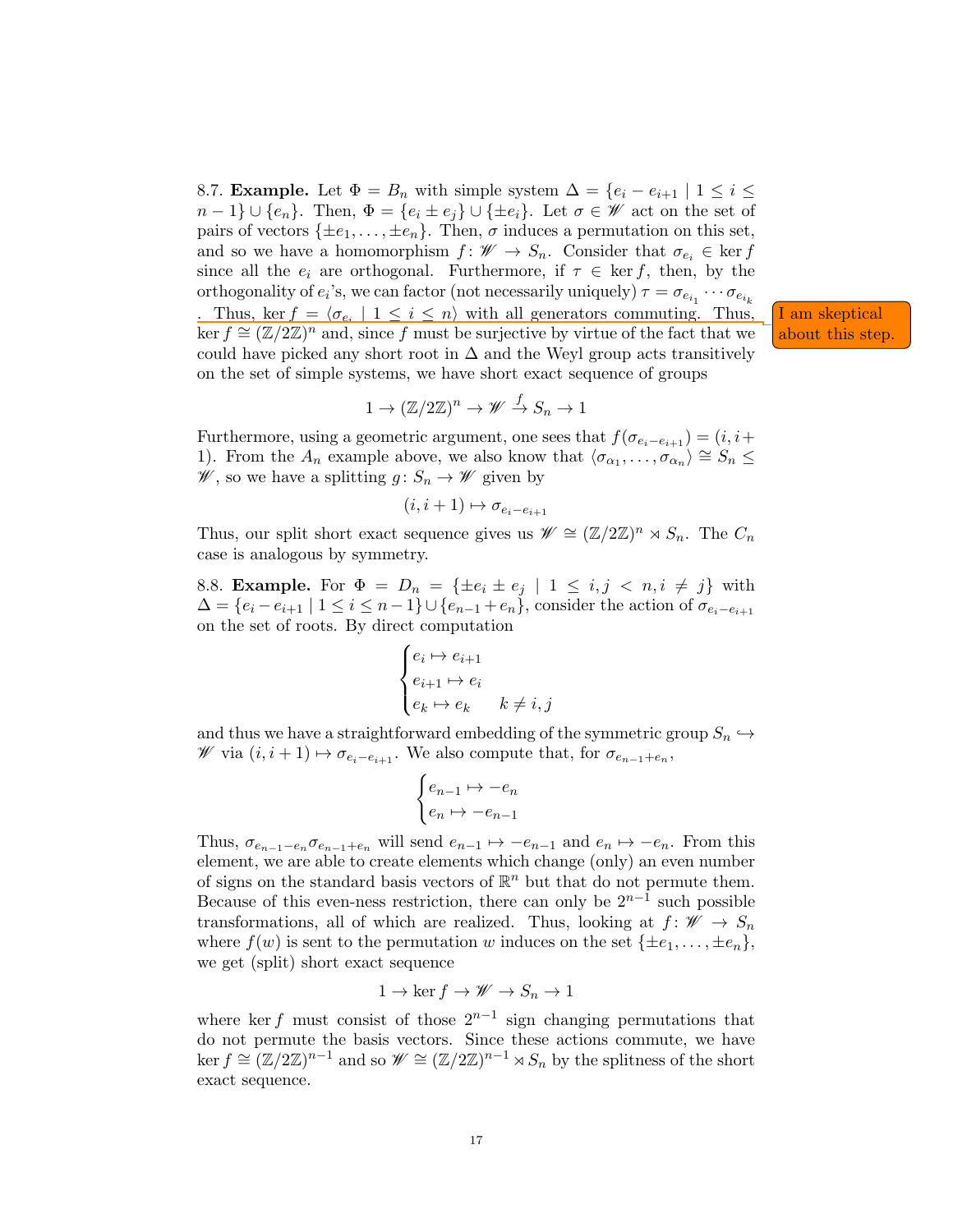8.7. **Example.** Let  $\Phi = B_n$  with simple system  $\Delta = \{e_i - e_{i+1} \mid 1 \leq i \leq n\}$  $n-1\} \cup \{e_n\}.$  Then,  $\Phi = \{e_i \pm e_j\} \cup \{\pm e_i\}.$  Let  $\sigma \in \mathscr{W}$  act on the set of pairs of vectors  $\{\pm e_1, \ldots, \pm e_n\}$ . Then,  $\sigma$  induces a permutation on this set, and so we have a homomorphism  $f: W \to S_n$ . Consider that  $\sigma_{e_i} \in \text{ker } f$ since all the  $e_i$  are orthogonal. Furthermore, if  $\tau \in \text{ker } f$ , then, by the orthogonality of  $e_i$ 's, we can factor (not necessarily uniquely)  $\tau = \sigma_{e_{i_1}} \cdots \sigma_{e_{i_k}}$ 

. Thus, ker  $f = \langle \sigma_{e_i} | 1 \leq i \leq n \rangle$  with all generators commuting. Thus, I am skeptical . Thus, ker  $f = \langle \sigma_{e_i} | 1 \le i \le n \rangle$  with all generators commuting. Thus, I am skeptical ker  $f \cong (\mathbb{Z}/2\mathbb{Z})^n$  and, since f must be surjective by virtue of the fact that we about this step. could have picked any short root in  $\Delta$  and the Weyl group acts transitively on the set of simple systems, we have short exact sequence of groups

$$
1 \to (\mathbb{Z}/2\mathbb{Z})^n \to \mathscr{W} \stackrel{f}{\to} S_n \to 1
$$

Furthermore, using a geometric argument, one sees that  $f(\sigma_{e_i-e_{i+1}}) = (i, i+1)$ 1). From the  $A_n$  example above, we also know that  $\langle \sigma_{\alpha_1}, \ldots, \sigma_{\alpha_n} \rangle \cong S_n \leq$  $\mathscr{W}$ , so we have a splitting  $g: S_n \to \mathscr{W}$  given by

$$
(i, i+1) \mapsto \sigma_{e_i - e_{i+1}}
$$

Thus, our split short exact sequence gives us  $\mathscr{W} \cong (\mathbb{Z}/2\mathbb{Z})^n \rtimes S_n$ . The  $C_n$ case is analogous by symmetry.

8.8. Example. For  $\Phi = D_n = {\pm e_i \pm e_j \mid 1 \leq i, j \leq n, i \neq j}$  with  $\Delta = \{e_i - e_{i+1} \mid 1 \leq i \leq n-1\} \cup \{e_{n-1} + e_n\}$ , consider the action of  $\sigma_{e_i-e_{i+1}}$ on the set of roots. By direct computation

$$
\begin{cases} e_i \mapsto e_{i+1} \\ e_{i+1} \mapsto e_i \\ e_k \mapsto e_k \qquad k \neq i, j \end{cases}
$$

and thus we have a straightforward embedding of the symmetric group  $S_n \hookrightarrow$ *₩* via  $(i, i + 1)$   $\mapsto$   $\sigma_{e_i-e_{i+1}}$ . We also compute that, for  $\sigma_{e_{n-1}+e_n}$ ,

$$
\begin{cases} e_{n-1} \mapsto -e_n \\ e_n \mapsto -e_{n-1} \end{cases}
$$

Thus,  $\sigma_{e_{n-1}-e_n}\sigma_{e_{n-1}+e_n}$  will send  $e_{n-1}\mapsto -e_{n-1}$  and  $e_n\mapsto -e_n$ . From this element, we are able to create elements which change (only) an even number of signs on the standard basis vectors of  $\mathbb{R}^n$  but that do not permute them. Because of this even-ness restriction, there can only be  $2^{n-1}$  such possible transformations, all of which are realized. Thus, looking at  $f: \mathscr{W} \to S_n$ where  $f(w)$  is sent to the permutation w induces on the set  $\{\pm e_1, \ldots, \pm e_n\}$ , we get (split) short exact sequence

$$
1 \to \ker f \to \mathscr{W} \to S_n \to 1
$$

where ker f must consist of those  $2^{n-1}$  sign changing permutations that do not permute the basis vectors. Since these actions commute, we have  $\ker f \cong (\mathbb{Z}/2\mathbb{Z})^{n-1}$  and so  $\mathscr{W} \cong (\mathbb{Z}/2\mathbb{Z})^{n-1} \rtimes S_n$  by the splitness of the short exact sequence.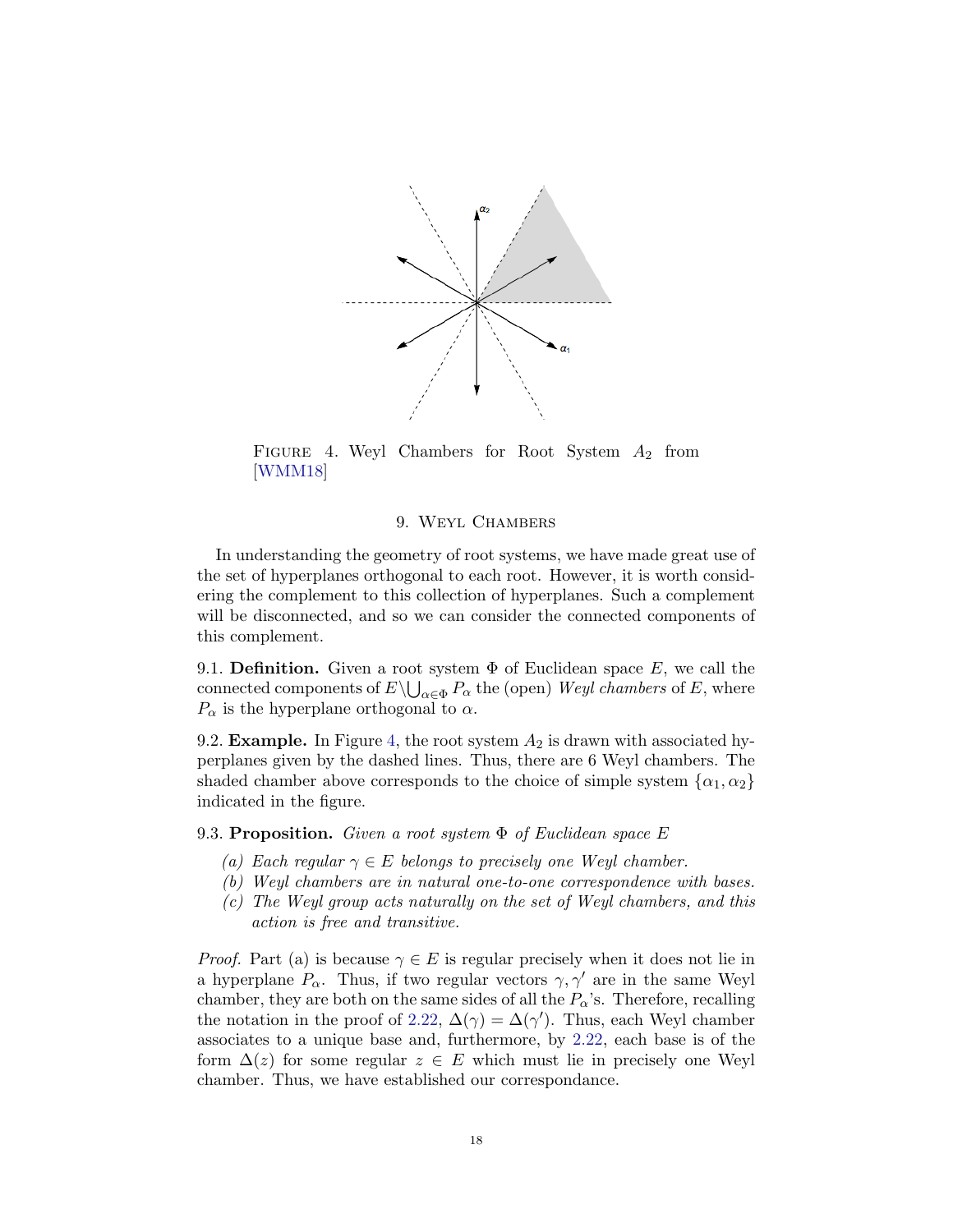<span id="page-17-0"></span>

FIGURE 4. Weyl Chambers for Root System  $A_2$  from [\[WMM18\]](#page-25-0)

## 9. Weyl Chambers

In understanding the geometry of root systems, we have made great use of the set of hyperplanes orthogonal to each root. However, it is worth considering the complement to this collection of hyperplanes. Such a complement will be disconnected, and so we can consider the connected components of this complement.

9.1. **Definition.** Given a root system  $\Phi$  of Euclidean space E, we call the connected components of  $E \setminus \bigcup_{\alpha \in \Phi} P_{\alpha}$  the (open) Weyl chambers of E, where  $P_{\alpha}$  is the hyperplane orthogonal to  $\alpha$ .

9.2. **Example.** In Figure [4,](#page-17-0) the root system  $A_2$  is drawn with associated hyperplanes given by the dashed lines. Thus, there are 6 Weyl chambers. The shaded chamber above corresponds to the choice of simple system  $\{\alpha_1, \alpha_2\}$ indicated in the figure.

<span id="page-17-1"></span>9.3. Proposition. Given a root system  $\Phi$  of Euclidean space E

- (a) Each regular  $\gamma \in E$  belongs to precisely one Weyl chamber.
- (b) Weyl chambers are in natural one-to-one correspondence with bases.
- (c) The Weyl group acts naturally on the set of Weyl chambers, and this action is free and transitive.

*Proof.* Part (a) is because  $\gamma \in E$  is regular precisely when it does not lie in a hyperplane  $P_{\alpha}$ . Thus, if two regular vectors  $\gamma, \gamma'$  are in the same Weyl chamber, they are both on the same sides of all the  $P_{\alpha}$ 's. Therefore, recalling the notation in the proof of [2.22,](#page-3-1)  $\Delta(\gamma) = \Delta(\gamma')$ . Thus, each Weyl chamber associates to a unique base and, furthermore, by [2.22,](#page-3-1) each base is of the form  $\Delta(z)$  for some regular  $z \in E$  which must lie in precisely one Weyl chamber. Thus, we have established our correspondance.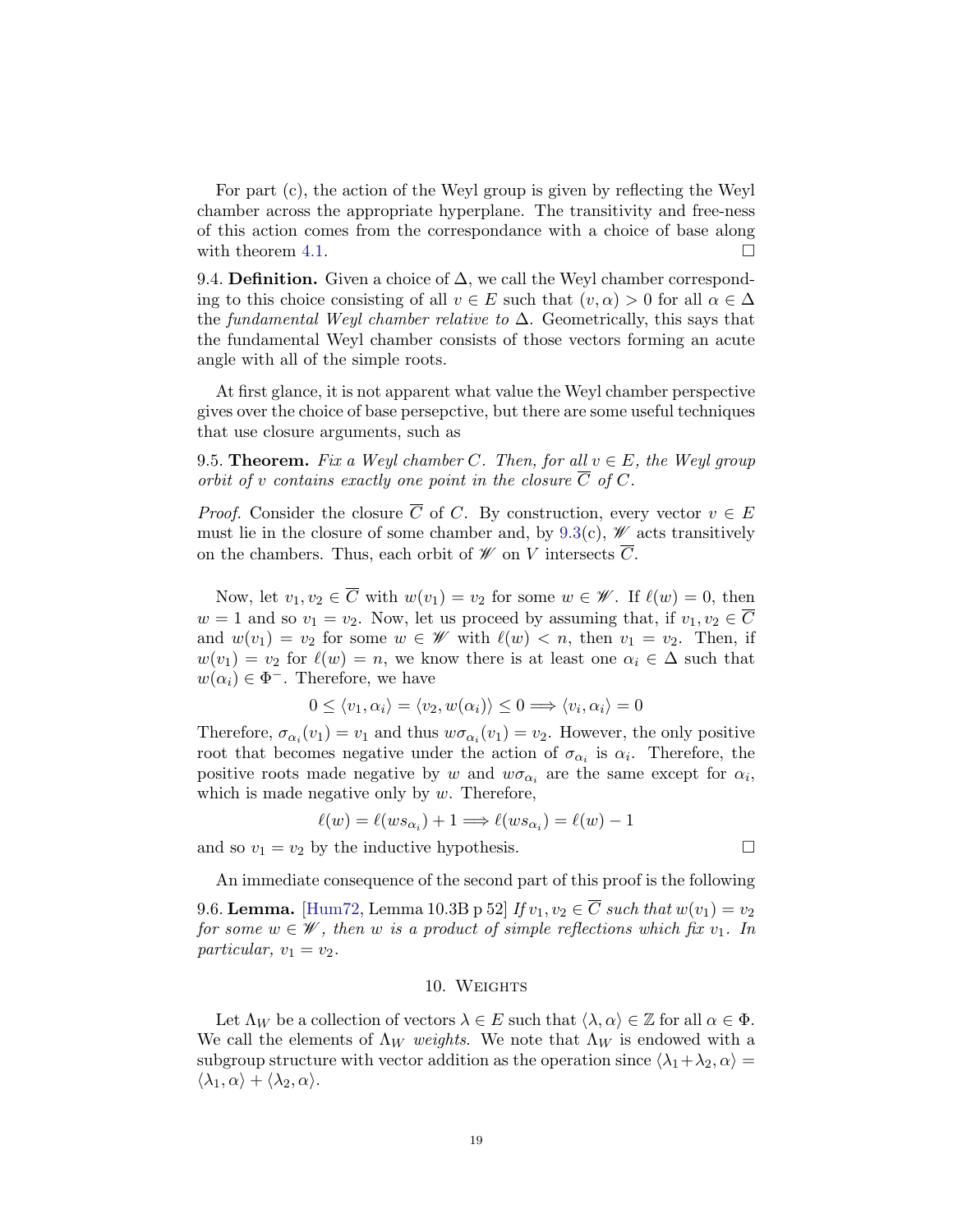For part (c), the action of the Weyl group is given by reflecting the Weyl chamber across the appropriate hyperplane. The transitivity and free-ness of this action comes from the correspondance with a choice of base along with theorem [4.1.](#page-6-2)  $\Box$ 

9.4. **Definition.** Given a choice of  $\Delta$ , we call the Weyl chamber corresponding to this choice consisting of all  $v \in E$  such that  $(v, \alpha) > 0$  for all  $\alpha \in \Delta$ the fundamental Weyl chamber relative to  $\Delta$ . Geometrically, this says that the fundamental Weyl chamber consists of those vectors forming an acute angle with all of the simple roots.

At first glance, it is not apparent what value the Weyl chamber perspective gives over the choice of base persepctive, but there are some useful techniques that use closure arguments, such as

<span id="page-18-0"></span>9.5. **Theorem.** Fix a Weyl chamber C. Then, for all  $v \in E$ , the Weyl group orbit of v contains exactly one point in the closure  $\overline{C}$  of C.

*Proof.* Consider the closure  $\overline{C}$  of C. By construction, every vector  $v \in E$ must lie in the closure of some chamber and, by  $9.3(c)$  $9.3(c)$ , *W* acts transitively on the chambers. Thus, each orbit of  $W$  on V intersects C.

Now, let  $v_1, v_2 \in \overline{C}$  with  $w(v_1) = v_2$  for some  $w \in \mathscr{W}$ . If  $\ell(w) = 0$ , then  $w = 1$  and so  $v_1 = v_2$ . Now, let us proceed by assuming that, if  $v_1, v_2 \in \overline{C}$ and  $w(v_1) = v_2$  for some  $w \in \mathscr{W}$  with  $\ell(w) < n$ , then  $v_1 = v_2$ . Then, if  $w(v_1) = v_2$  for  $\ell(w) = n$ , we know there is at least one  $\alpha_i \in \Delta$  such that  $w(\alpha_i) \in \Phi^-$ . Therefore, we have

$$
0 \le \langle v_1, \alpha_i \rangle = \langle v_2, w(\alpha_i) \rangle \le 0 \Longrightarrow \langle v_i, \alpha_i \rangle = 0
$$

Therefore,  $\sigma_{\alpha_i}(v_1) = v_1$  and thus  $w\sigma_{\alpha_i}(v_1) = v_2$ . However, the only positive root that becomes negative under the action of  $\sigma_{\alpha_i}$  is  $\alpha_i$ . Therefore, the positive roots made negative by w and  $w\sigma_{\alpha_i}$  are the same except for  $\alpha_i$ , which is made negative only by  $w$ . Therefore,

$$
\ell(w) = \ell(ws_{\alpha_i}) + 1 \Longrightarrow \ell(ws_{\alpha_i}) = \ell(w) - 1
$$

and so  $v_1 = v_2$  by the inductive hypothesis.

<span id="page-18-1"></span>An immediate consequence of the second part of this proof is the following 9.6. Lemma. [\[Hum72,](#page-24-1) Lemma 10.3B p 52] If  $v_1, v_2 \in \overline{C}$  such that  $w(v_1) = v_2$ for some  $w \in \mathscr{W}$ , then w is a product of simple reflections which fix  $v_1$ . In particular,  $v_1 = v_2$ .

#### 10. WEIGHTS

Let  $\Lambda_W$  be a collection of vectors  $\lambda \in E$  such that  $\langle \lambda, \alpha \rangle \in \mathbb{Z}$  for all  $\alpha \in \Phi$ . We call the elements of  $\Lambda_W$  weights. We note that  $\Lambda_W$  is endowed with a subgroup structure with vector addition as the operation since  $\langle \lambda_1 + \lambda_2, \alpha \rangle =$  $\langle \lambda_1, \alpha \rangle + \langle \lambda_2, \alpha \rangle.$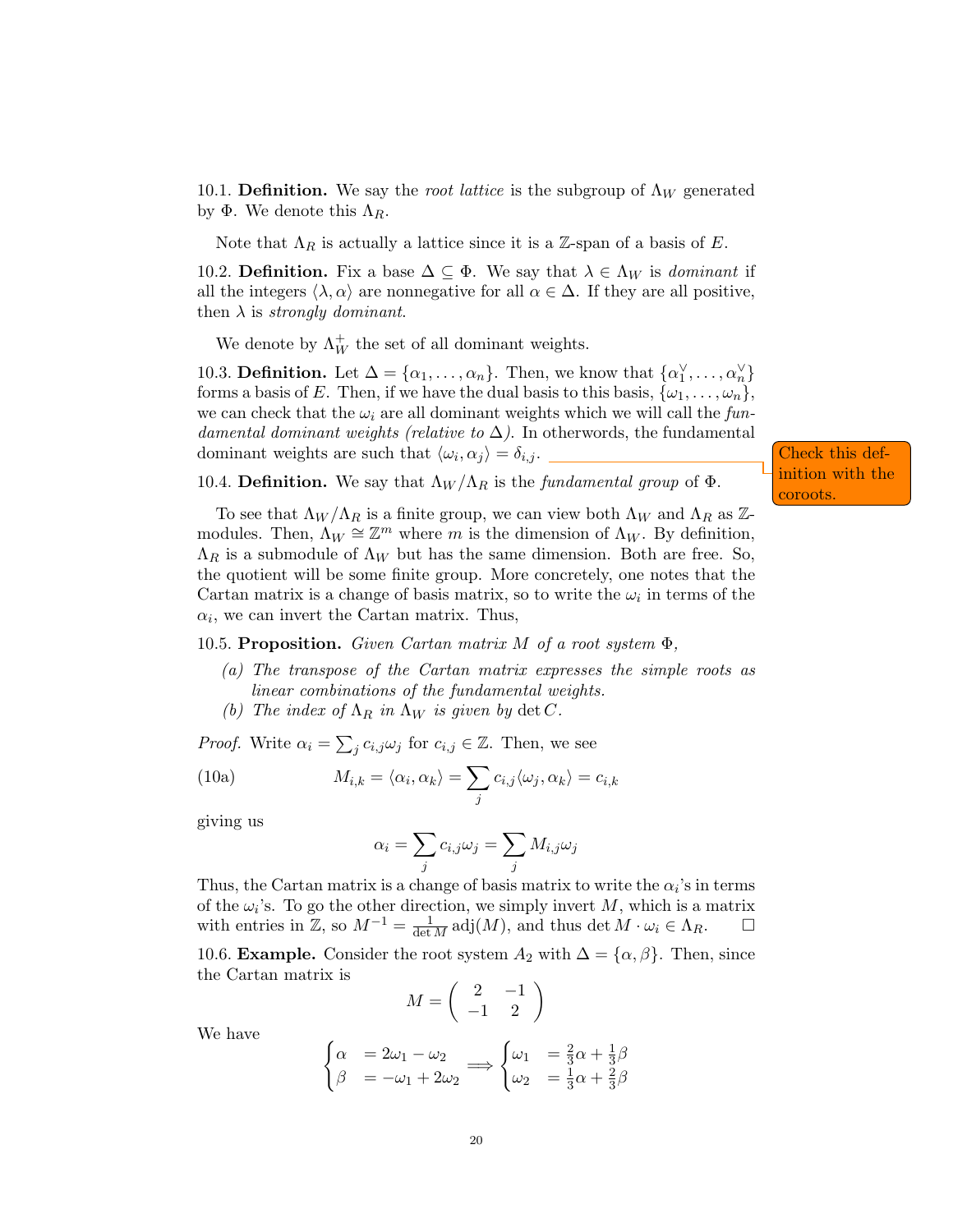10.1. Definition. We say the root lattice is the subgroup of  $\Lambda_W$  generated by Φ. We denote this  $Λ_R$ .

Note that  $\Lambda_R$  is actually a lattice since it is a Z-span of a basis of E.

10.2. **Definition.** Fix a base  $\Delta \subseteq \Phi$ . We say that  $\lambda \in \Lambda_W$  is *dominant* if all the integers  $\langle \lambda, \alpha \rangle$  are nonnegative for all  $\alpha \in \Delta$ . If they are all positive, then  $\lambda$  is *strongly dominant*.

We denote by  $\Lambda_W^+$  the set of all dominant weights.

10.3. **Definition.** Let  $\Delta = {\alpha_1, ..., \alpha_n}$ . Then, we know that  ${\alpha_1^{\vee}, ..., \alpha_n^{\vee}}$ forms a basis of E. Then, if we have the dual basis to this basis,  $\{\omega_1, \ldots, \omega_n\}$ , we can check that the  $\omega_i$  are all dominant weights which we will call the fundamental dominant weights (relative to  $\Delta$ ). In otherwords, the fundamental dominant weights are such that  $\langle \omega_i, \alpha_j \rangle = \delta_{i,j}$ .

Check this definition with the coroots.

10.4. Definition. We say that  $\Lambda_W/\Lambda_R$  is the fundamental group of  $\Phi$ .

To see that  $\Lambda_W/\Lambda_R$  is a finite group, we can view both  $\Lambda_W$  and  $\Lambda_R$  as Zmodules. Then,  $\Lambda_W \cong \mathbb{Z}^m$  where m is the dimension of  $\Lambda_W$ . By definition,  $\Lambda_R$  is a submodule of  $\Lambda_W$  but has the same dimension. Both are free. So, the quotient will be some finite group. More concretely, one notes that the Cartan matrix is a change of basis matrix, so to write the  $\omega_i$  in terms of the  $\alpha_i$ , we can invert the Cartan matrix. Thus,

10.5. Proposition. Given Cartan matrix M of a root system  $\Phi$ .

- (a) The transpose of the Cartan matrix expresses the simple roots as linear combinations of the fundamental weights.
- (b) The index of  $\Lambda_R$  in  $\Lambda_W$  is given by det C.

*Proof.* Write  $\alpha_i = \sum_j c_{i,j} \omega_j$  for  $c_{i,j} \in \mathbb{Z}$ . Then, we see

(10a) 
$$
M_{i,k} = \langle \alpha_i, \alpha_k \rangle = \sum_j c_{i,j} \langle \omega_j, \alpha_k \rangle = c_{i,k}
$$

giving us

<span id="page-19-0"></span>
$$
\alpha_i = \sum_j c_{i,j} \omega_j = \sum_j M_{i,j} \omega_j
$$

Thus, the Cartan matrix is a change of basis matrix to write the  $\alpha_i$ 's in terms of the  $\omega_i$ 's. To go the other direction, we simply invert M, which is a matrix with entries in  $\mathbb{Z}$ , so  $M^{-1} = \frac{1}{\det M} \operatorname{adj}(M)$ , and thus  $\det M \cdot \omega_i \in \Lambda_R$ .  $\Box$ 

10.6. **Example.** Consider the root system  $A_2$  with  $\Delta = {\alpha, \beta}$ . Then, since the Cartan matrix is

$$
M = \left(\begin{array}{cc} 2 & -1 \\ -1 & 2 \end{array}\right)
$$

We have

$$
\begin{cases}\n\alpha &= 2\omega_1 - \omega_2 \\
\beta &= -\omega_1 + 2\omega_2\n\end{cases} \Longrightarrow \begin{cases}\n\omega_1 &= \frac{2}{3}\alpha + \frac{1}{3}\beta \\
\omega_2 &= \frac{1}{3}\alpha + \frac{2}{3}\beta\n\end{cases}
$$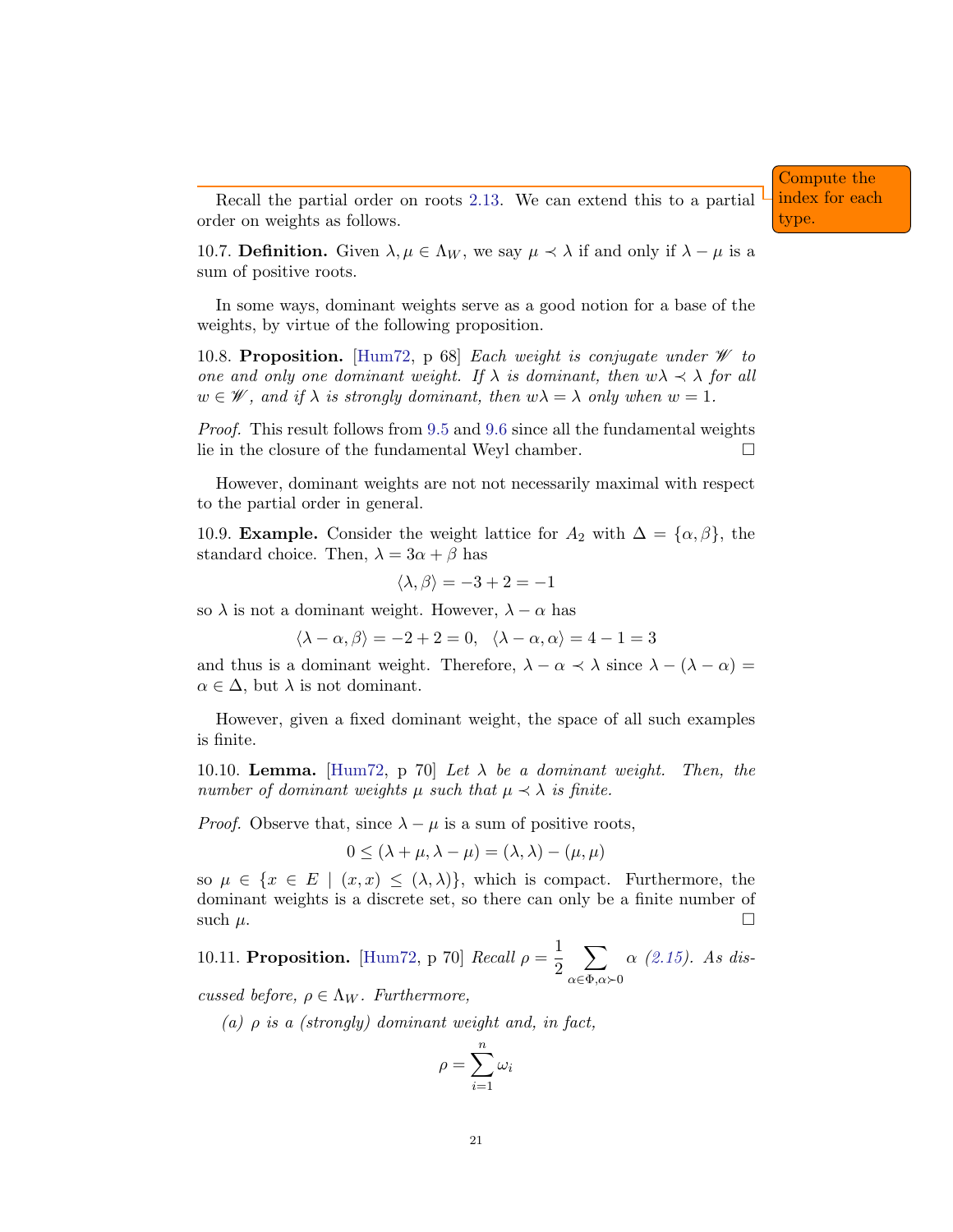Recall the partial order on roots [2.13.](#page-3-2) We can extend this to a partial order on weights as follows.

10.7. **Definition.** Given  $\lambda, \mu \in \Lambda_W$ , we say  $\mu \prec \lambda$  if and only if  $\lambda - \mu$  is a sum of positive roots.

In some ways, dominant weights serve as a good notion for a base of the weights, by virtue of the following proposition.

<span id="page-20-0"></span>10.8. Proposition. [\[Hum72,](#page-24-1) p 68] Each weight is conjugate under  $\mathscr W$  to one and only one dominant weight. If  $\lambda$  is dominant, then  $w\lambda \prec \lambda$  for all  $w \in \mathscr{W}$ , and if  $\lambda$  is strongly dominant, then  $w\lambda = \lambda$  only when  $w = 1$ .

Proof. This result follows from [9.5](#page-18-0) and [9.6](#page-18-1) since all the fundamental weights lie in the closure of the fundamental Weyl chamber.

However, dominant weights are not not necessarily maximal with respect to the partial order in general.

10.9. **Example.** Consider the weight lattice for  $A_2$  with  $\Delta = {\alpha, \beta}$ , the standard choice. Then,  $\lambda = 3\alpha + \beta$  has

$$
\langle \lambda, \beta \rangle = -3 + 2 = -1
$$

so  $\lambda$  is not a dominant weight. However,  $\lambda - \alpha$  has

 $\langle \lambda - \alpha, \beta \rangle = -2 + 2 = 0, \quad \langle \lambda - \alpha, \alpha \rangle = 4 - 1 = 3$ 

and thus is a dominant weight. Therefore,  $\lambda - \alpha \prec \lambda$  since  $\lambda - (\lambda - \alpha) =$  $\alpha \in \Delta$ , but  $\lambda$  is not dominant.

However, given a fixed dominant weight, the space of all such examples is finite.

<span id="page-20-1"></span>10.10. **Lemma.** [\[Hum72,](#page-24-1) p 70] Let  $\lambda$  be a dominant weight. Then, the number of dominant weights  $\mu$  such that  $\mu \prec \lambda$  is finite.

*Proof.* Observe that, since  $\lambda - \mu$  is a sum of positive roots,

$$
0 \le (\lambda + \mu, \lambda - \mu) = (\lambda, \lambda) - (\mu, \mu)
$$

so  $\mu \in \{x \in E \mid (x, x) \leq (\lambda, \lambda)\}\,$ , which is compact. Furthermore, the dominant weights is a discrete set, so there can only be a finite number of such  $\mu$ .

10.11. Proposition. [\[Hum72,](#page-24-1) p 70]  $Recall \rho = \frac{1}{2}$ 2  $\sum$  $\alpha \in \Phi, \alpha \succ 0$  $\alpha$  [\(2.15\)](#page-3-3). As dis-

cussed before,  $\rho \in \Lambda_W$ . Furthermore,

(a)  $\rho$  is a (strongly) dominant weight and, in fact,

$$
\rho = \sum_{i=1}^n \omega_i
$$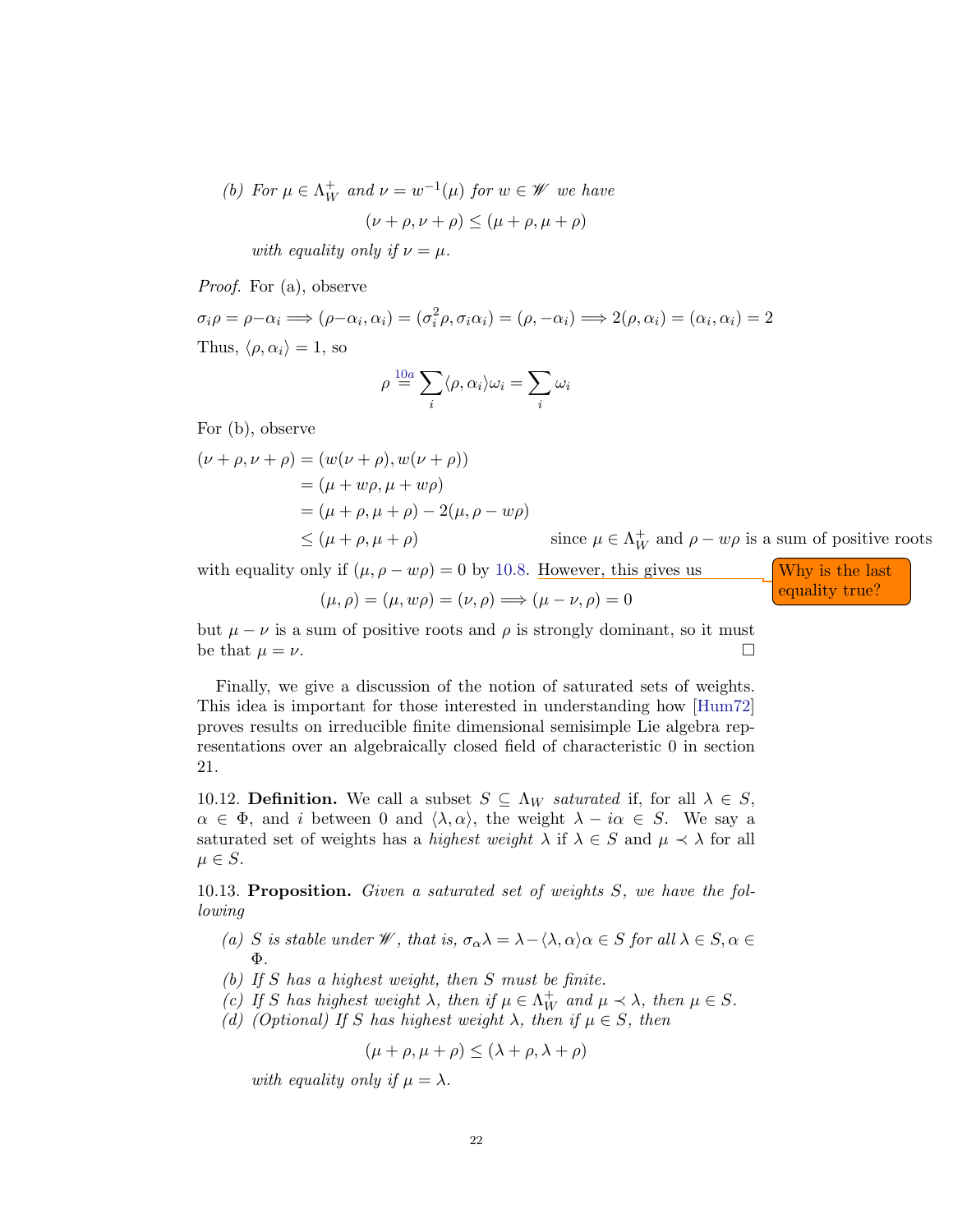(b) For  $\mu \in \Lambda_W^+$  and  $\nu = w^{-1}(\mu)$  for  $w \in \mathscr{W}$  we have

$$
(\nu + \rho, \nu + \rho) \leq (\mu + \rho, \mu + \rho)
$$

with equality only if  $\nu = \mu$ .

Proof. For (a), observe

 $\sigma_i \rho = \rho - \alpha_i \Longrightarrow (\rho - \alpha_i, \alpha_i) = (\sigma_i^2 \rho, \sigma_i \alpha_i) = (\rho, -\alpha_i) \Longrightarrow 2(\rho, \alpha_i) = (\alpha_i, \alpha_i) = 2$ Thus,  $\langle \rho, \alpha_i \rangle = 1$ , so

$$
\rho \stackrel{10a}{=} \sum_i \langle \rho, \alpha_i \rangle \omega_i = \sum_i \omega_i
$$

For (b), observe

$$
(\nu + \rho, \nu + \rho) = (w(\nu + \rho), w(\nu + \rho))
$$
  
= (\mu + w\rho, \mu + w\rho)  
= (\mu + \rho, \mu + \rho) - 2(\mu, \rho - w\rho)  

$$
\leq (\mu + \rho, \mu + \rho)
$$
 since  $\mu \in \Lambda_W^+$  and  $\rho - w\rho$  is a sum of positive roots

with equality only if  $(\mu, \rho - w\rho) = 0$  by [10.8.](#page-20-0) However, this gives us Why is the last

$$
(\mu, \rho) = (\mu, w\rho) = (\nu, \rho) \Longrightarrow (\mu - \nu, \rho) = 0
$$
 *equality true?*

but  $\mu - \nu$  is a sum of positive roots and  $\rho$  is strongly dominant, so it must be that  $\mu = \nu$ .

Finally, we give a discussion of the notion of saturated sets of weights. This idea is important for those interested in understanding how [\[Hum72\]](#page-24-1) proves results on irreducible finite dimensional semisimple Lie algebra representations over an algebraically closed field of characteristic 0 in section 21.

10.12. **Definition.** We call a subset  $S \subseteq \Lambda_W$  saturated if, for all  $\lambda \in S$ ,  $\alpha \in \Phi$ , and i between 0 and  $\langle \lambda, \alpha \rangle$ , the weight  $\lambda - i\alpha \in S$ . We say a saturated set of weights has a *highest weight*  $\lambda$  if  $\lambda \in S$  and  $\mu \prec \lambda$  for all  $\mu \in S$ .

10.13. Proposition. Given a saturated set of weights S, we have the following

- (a) S is stable under W, that is,  $\sigma_{\alpha} \lambda = \lambda \langle \lambda, \alpha \rangle \alpha \in S$  for all  $\lambda \in S, \alpha \in$ Φ.
- (b) If S has a highest weight, then S must be finite.
- (c) If S has highest weight  $\lambda$ , then if  $\mu \in \Lambda_W^+$  and  $\mu \prec \lambda$ , then  $\mu \in S$ .
- (d) (Optional) If S has highest weight  $\lambda$ , then if  $\mu \in S$ , then

$$
(\mu + \rho, \mu + \rho) \le (\lambda + \rho, \lambda + \rho)
$$

with equality only if  $\mu = \lambda$ .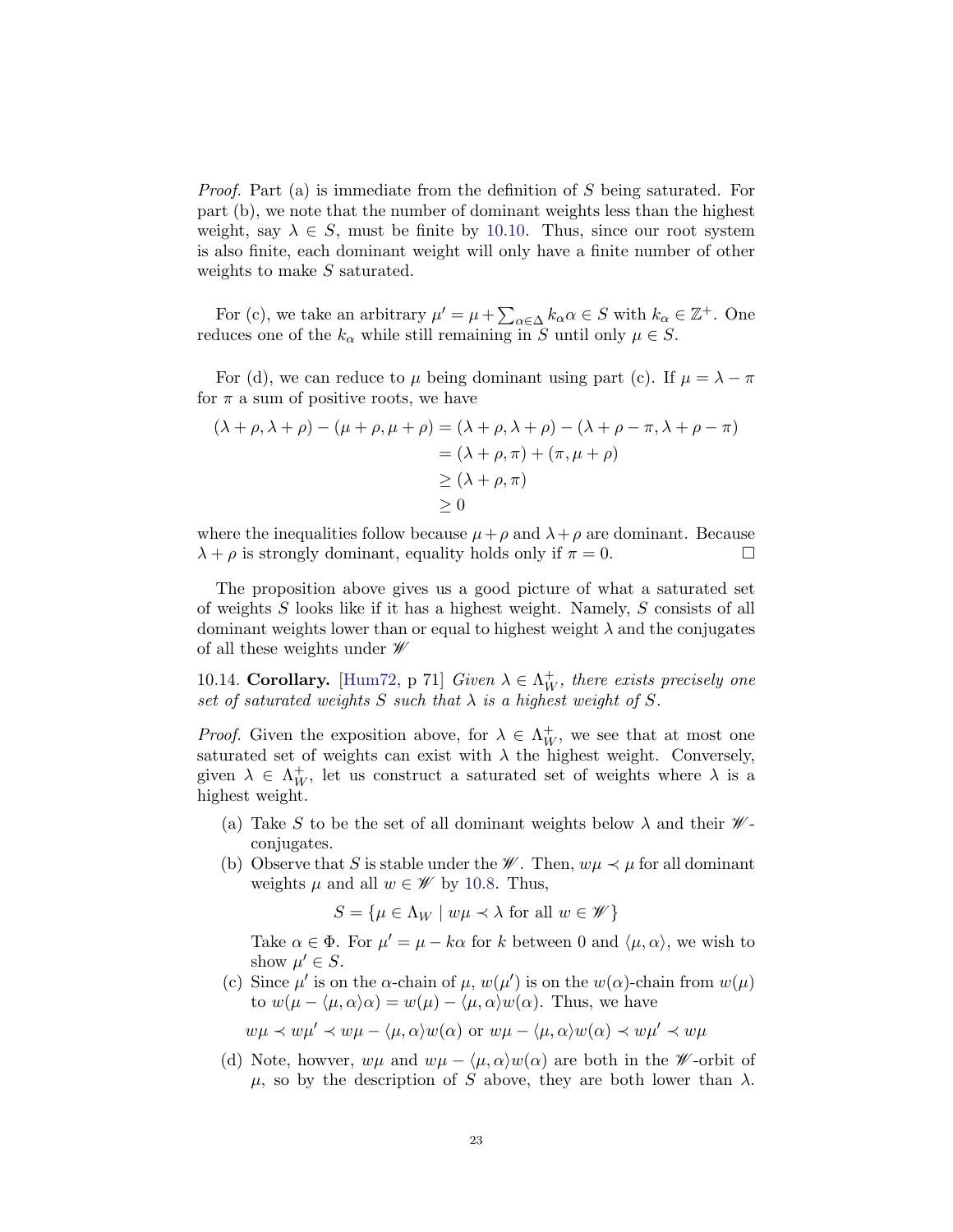Proof. Part (a) is immediate from the definition of S being saturated. For part (b), we note that the number of dominant weights less than the highest weight, say  $\lambda \in S$ , must be finite by [10.10.](#page-20-1) Thus, since our root system is also finite, each dominant weight will only have a finite number of other weights to make S saturated.

For (c), we take an arbitrary  $\mu' = \mu + \sum_{\alpha \in \Delta} k_{\alpha} \alpha \in S$  with  $k_{\alpha} \in \mathbb{Z}^+$ . One reduces one of the  $k_{\alpha}$  while still remaining in S until only  $\mu \in S$ .

For (d), we can reduce to  $\mu$  being dominant using part (c). If  $\mu = \lambda - \pi$ for  $\pi$  a sum of positive roots, we have

$$
(\lambda + \rho, \lambda + \rho) - (\mu + \rho, \mu + \rho) = (\lambda + \rho, \lambda + \rho) - (\lambda + \rho - \pi, \lambda + \rho - \pi)
$$
  
= (\lambda + \rho, \pi) + (\pi, \mu + \rho)  

$$
\geq (\lambda + \rho, \pi)
$$
  

$$
\geq 0
$$

where the inequalities follow because  $\mu + \rho$  and  $\lambda + \rho$  are dominant. Because  $\lambda + \rho$  is strongly dominant, equality holds only if  $\pi = 0$ .

The proposition above gives us a good picture of what a saturated set of weights S looks like if it has a highest weight. Namely, S consists of all dominant weights lower than or equal to highest weight  $\lambda$  and the conjugates of all these weights under  $\mathscr W$ 

10.14. Corollary. [\[Hum72,](#page-24-1) p 71] Given  $\lambda \in \Lambda_W^+$ , there exists precisely one set of saturated weights S such that  $\lambda$  is a highest weight of S.

*Proof.* Given the exposition above, for  $\lambda \in \Lambda_W^+$ , we see that at most one saturated set of weights can exist with  $\lambda$  the highest weight. Conversely, given  $\lambda \in \Lambda_W^+$ , let us construct a saturated set of weights where  $\lambda$  is a highest weight.

- (a) Take S to be the set of all dominant weights below  $\lambda$  and their  $\mathscr{W}$ conjugates.
- (b) Observe that S is stable under the  $\mathscr{W}$ . Then,  $w\mu \prec \mu$  for all dominant weights  $\mu$  and all  $w \in \mathscr{W}$  by [10.8.](#page-20-0) Thus,

 $S = \{ \mu \in \Lambda_W \mid w\mu \prec \lambda \text{ for all } w \in \mathscr{W} \}$ 

Take  $\alpha \in \Phi$ . For  $\mu' = \mu - k\alpha$  for k between 0 and  $\langle \mu, \alpha \rangle$ , we wish to show  $\mu' \in S$ .

(c) Since  $\mu'$  is on the  $\alpha$ -chain of  $\mu$ ,  $w(\mu')$  is on the  $w(\alpha)$ -chain from  $w(\mu)$ to  $w(\mu - \langle \mu, \alpha \rangle \alpha) = w(\mu) - \langle \mu, \alpha \rangle w(\alpha)$ . Thus, we have

 $wu \prec w\mu' \prec w\mu - \langle \mu, \alpha \rangle w(\alpha)$  or  $wu - \langle \mu, \alpha \rangle w(\alpha) \prec w\mu' \prec w\mu$ 

(d) Note, howver,  $w\mu$  and  $w\mu - \langle \mu, \alpha \rangle w(\alpha)$  are both in the W-orbit of  $\mu$ , so by the description of S above, they are both lower than  $\lambda$ .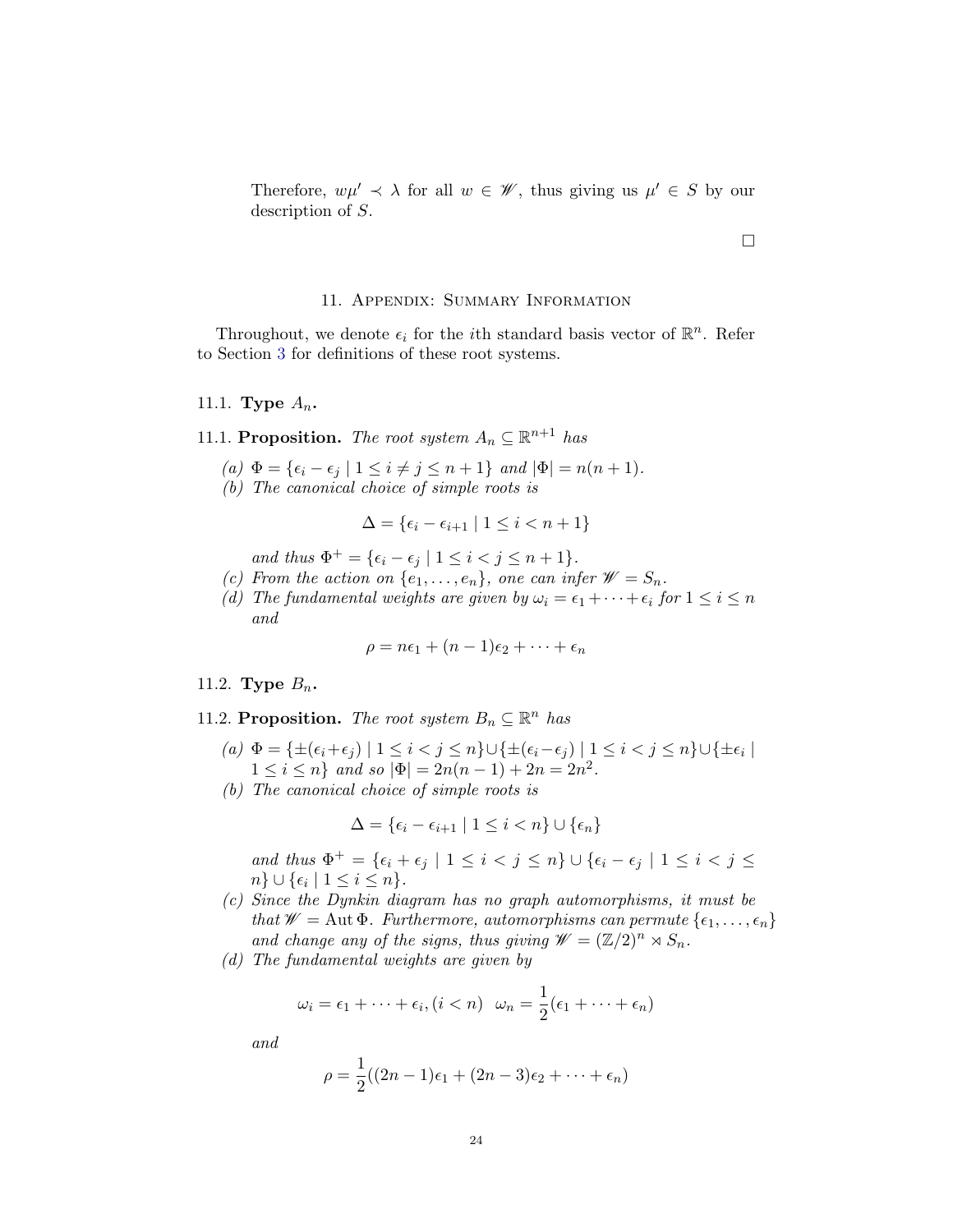Therefore,  $w\mu' \prec \lambda$  for all  $w \in \mathscr{W}$ , thus giving us  $\mu' \in S$  by our description of S.

 $\Box$ 

# 11. Appendix: Summary Information

Throughout, we denote  $\epsilon_i$  for the *i*<sup>th</sup> standard basis vector of  $\mathbb{R}^n$ . Refer to Section [3](#page-5-0) for definitions of these root systems.

# 11.1. Type  $A_n$ .

11.1. Proposition. The root system  $A_n \subseteq \mathbb{R}^{n+1}$  has

- (a)  $\Phi = \{\epsilon_i \epsilon_j \mid 1 \leq i \neq j \leq n+1\}$  and  $|\Phi| = n(n+1)$ .
- (b) The canonical choice of simple roots is

$$
\Delta = \{ \epsilon_i - \epsilon_{i+1} \mid 1 \leq i < n+1 \}
$$

and thus  $\Phi^+ = \{\epsilon_i - \epsilon_j \mid 1 \leq i < j \leq n+1\}.$ 

- (c) From the action on  $\{e_1, \ldots, e_n\}$ , one can infer  $\mathscr{W} = S_n$ .
- (d) The fundamental weights are given by  $\omega_i = \epsilon_1 + \cdots + \epsilon_i$  for  $1 \leq i \leq n$ and

$$
\rho = n\epsilon_1 + (n-1)\epsilon_2 + \cdots + \epsilon_n
$$

#### 11.2. Type  $B_n$ .

11.2. Proposition. The root system  $B_n \subseteq \mathbb{R}^n$  has

- $(a) \Phi = \{\pm(\epsilon_i+\epsilon_j) \mid 1 \leq i < j \leq n\} \cup \{\pm(\epsilon_i-\epsilon_j) \mid 1 \leq i < j \leq n\} \cup \{\pm\epsilon_i \mid$  $1 \leq i \leq n$  and so  $|\Phi| = 2n(n-1) + 2n = 2n^2$ .
- (b) The canonical choice of simple roots is

$$
\Delta = \{ \epsilon_i - \epsilon_{i+1} \mid 1 \le i < n \} \cup \{ \epsilon_n \}
$$

and thus  $\Phi^+ = \{\epsilon_i + \epsilon_j \mid 1 \leq i < j \leq n\} \cup \{\epsilon_i - \epsilon_j \mid 1 \leq i < j \leq n\}$  $n\} \cup \{\epsilon_i \mid 1 \leq i \leq n\}.$ 

- (c) Since the Dynkin diagram has no graph automorphisms, it must be that  $\mathscr{W} = \text{Aut }\Phi$ . Furthermore, automorphisms can permute  $\{\epsilon_1, \ldots, \epsilon_n\}$ and change any of the signs, thus giving  $\mathscr{W} = (\mathbb{Z}/2)^n \rtimes S_n$ .
- (d) The fundamental weights are given by

$$
\omega_i = \epsilon_1 + \dots + \epsilon_i, (i < n) \quad \omega_n = \frac{1}{2}(\epsilon_1 + \dots + \epsilon_n)
$$

and

$$
\rho = \frac{1}{2}((2n-1)\epsilon_1 + (2n-3)\epsilon_2 + \cdots + \epsilon_n)
$$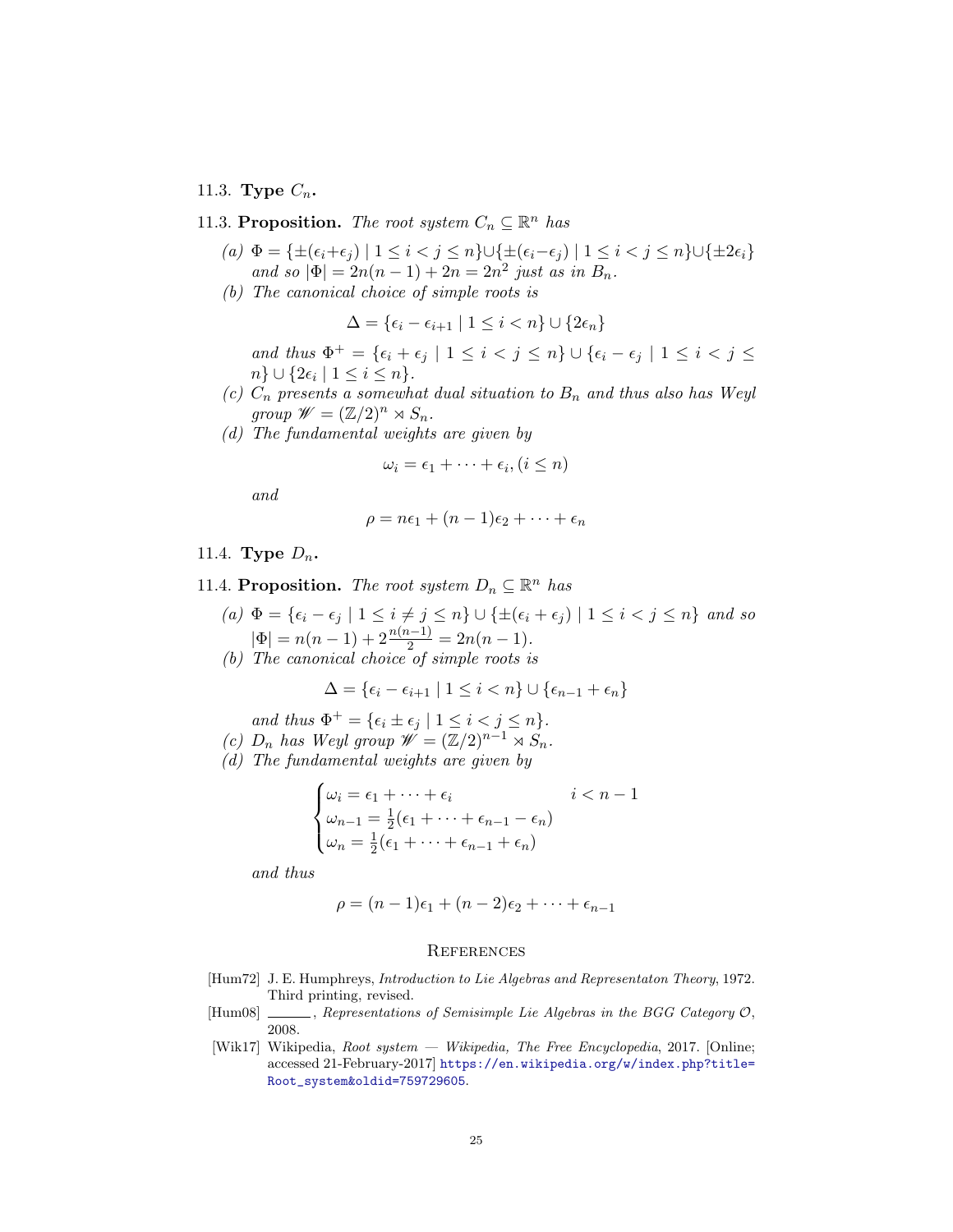# 11.3. Type  $C_n$ .

# 11.3. Proposition. The root system  $C_n \subseteq \mathbb{R}^n$  has

- (a)  $\Phi = \{ \pm (\epsilon_i + \epsilon_j) \mid 1 \leq i < j \leq n \} \cup \{ \pm (\epsilon_i \epsilon_j) \mid 1 \leq i < j \leq n \} \cup \{ \pm 2\epsilon_i \}$ and so  $|\Phi| = 2n(n-1) + 2n = 2n^2$  just as in  $B_n$ .
- (b) The canonical choice of simple roots is

$$
\Delta = \{ \epsilon_i - \epsilon_{i+1} \mid 1 \le i < n \} \cup \{ 2\epsilon_n \}
$$

and thus  $\Phi^+ = \{\epsilon_i + \epsilon_j \mid 1 \leq i < j \leq n\} \cup \{\epsilon_i - \epsilon_j \mid 1 \leq i < j \leq n\}$  $n\} \cup \{2\epsilon_i \mid 1 \leq i \leq n\}.$ 

- (c)  $C_n$  presents a somewhat dual situation to  $B_n$  and thus also has Weyl group  $\mathscr{W} = (\mathbb{Z}/2)^n \rtimes S_n$ .
- (d) The fundamental weights are given by

$$
\omega_i = \epsilon_1 + \cdots + \epsilon_i, (i \leq n)
$$

and

$$
\rho = n\epsilon_1 + (n-1)\epsilon_2 + \cdots + \epsilon_n
$$

## 11.4. Type  $D_n$ .

11.4. Proposition. The root system  $D_n \subseteq \mathbb{R}^n$  has

- (a)  $\Phi = {\epsilon_i \epsilon_j \mid 1 \leq i \neq j \leq n} \cup {\pm(\epsilon_i + \epsilon_j) \mid 1 \leq i < j \leq n}$  and so  $|\Phi| = n(n-1) + 2\frac{n(n-1)}{2} = 2n(n-1).$
- (b) The canonical choice of simple roots is

$$
\Delta = \{\epsilon_i - \epsilon_{i+1} \mid 1 \leq i < n\} \cup \{\epsilon_{n-1} + \epsilon_n\}
$$

and thus  $\Phi^+ = \{\epsilon_i \pm \epsilon_j \mid 1 \leq i < j \leq n\}.$ 

- (c)  $D_n$  has Weyl group  $\mathscr{W} = (\mathbb{Z}/2)^{n-1} \rtimes S_n$ .
- (d) The fundamental weights are given by

$$
\begin{cases} \omega_i = \epsilon_1 + \dots + \epsilon_i & i < n - 1 \\ \omega_{n-1} = \frac{1}{2}(\epsilon_1 + \dots + \epsilon_{n-1} - \epsilon_n) \\ \omega_n = \frac{1}{2}(\epsilon_1 + \dots + \epsilon_{n-1} + \epsilon_n) \end{cases}
$$

and thus

$$
\rho = (n-1)\epsilon_1 + (n-2)\epsilon_2 + \cdots + \epsilon_{n-1}
$$

#### **REFERENCES**

- <span id="page-24-1"></span>[Hum72] J. E. Humphreys, Introduction to Lie Algebras and Representaton Theory, 1972. Third printing, revised.
- <span id="page-24-2"></span> $[Hum08]$  , Representations of Semisimple Lie Algebras in the BGG Category  $\mathcal{O},$ 2008.
- <span id="page-24-0"></span>[Wik17] Wikipedia, Root system — Wikipedia, The Free Encyclopedia, 2017. [Online; accessed 21-February-2017] [https://en.wikipedia.org/w/index.php?title=](https://en.wikipedia.org/w/index.php?title=Root_system&oldid=759729605) [Root\\_system&oldid=759729605](https://en.wikipedia.org/w/index.php?title=Root_system&oldid=759729605).